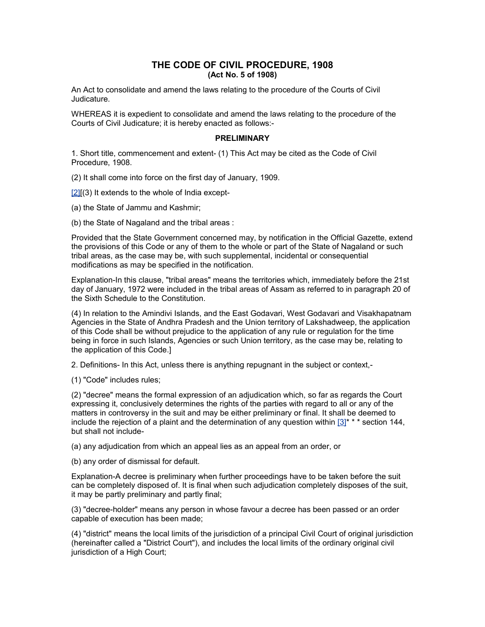# **THE CODE OF CIVIL PROCEDURE, 1908 (Act No. 5 of 1908)**

An Act to consolidate and amend the laws relating to the procedure of the Courts of Civil Judicature.

WHEREAS it is expedient to consolidate and amend the laws relating to the procedure of the Courts of Civil Judicature; it is hereby enacted as follows:-

#### **PRELIMINARY**

1. Short title, commencement and extent- (1) This Act may be cited as the Code of Civil Procedure, 1908.

(2) It shall come into force on the first day of January, 1909.

 $[2]$ [(3) It extends to the whole of India except-

(a) the State of Jammu and Kashmir;

(b) the State of Nagaland and the tribal areas :

Provided that the State Government concerned may, by notification in the Official Gazette, extend the provisions of this Code or any of them to the whole or part of the State of Nagaland or such tribal areas, as the case may be, with such supplemental, incidental or consequential modifications as may be specified in the notification.

Explanation-In this clause, "tribal areas" means the territories which, immediately before the 21st day of January, 1972 were included in the tribal areas of Assam as referred to in paragraph 20 of the Sixth Schedule to the Constitution.

(4) In relation to the Amindivi Islands, and the East Godavari, West Godavari and Visakhapatnam Agencies in the State of Andhra Pradesh and the Union territory of Lakshadweep, the application of this Code shall be without prejudice to the application of any rule or regulation for the time being in force in such Islands, Agencies or such Union territory, as the case may be, relating to the application of this Code.]

2. Definitions- In this Act, unless there is anything repugnant in the subject or context,-

(1) "Code" includes rules;

(2) "decree" means the formal expression of an adjudication which, so far as regards the Court expressing it, conclusively determines the rights of the parties with regard to all or any of the matters in controversy in the suit and may be either preliminary or final. It shall be deemed to include the rejection of a plaint and the determination of any question within  $[3]^{* * *}$  section 144, but shall not include-

(a) any adjudication from which an appeal lies as an appeal from an order, or

(b) any order of dismissal for default.

Explanation-A decree is preliminary when further proceedings have to be taken before the suit can be completely disposed of. It is final when such adjudication completely disposes of the suit, it may be partly preliminary and partly final;

(3) "decree-holder" means any person in whose favour a decree has been passed or an order capable of execution has been made;

(4) "district" means the local limits of the jurisdiction of a principal Civil Court of original jurisdiction (hereinafter called a "District Court"), and includes the local limits of the ordinary original civil jurisdiction of a High Court;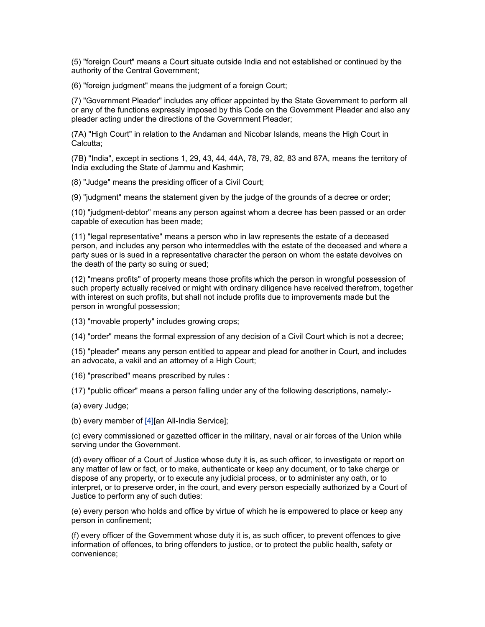(5) "foreign Court" means a Court situate outside India and not established or continued by the authority of the Central Government;

(6) "foreign judgment" means the judgment of a foreign Court;

(7) "Government Pleader" includes any officer appointed by the State Government to perform all or any of the functions expressly imposed by this Code on the Government Pleader and also any pleader acting under the directions of the Government Pleader;

(7A) "High Court" in relation to the Andaman and Nicobar Islands, means the High Court in Calcutta;

(7B) "India", except in sections 1, 29, 43, 44, 44A, 78, 79, 82, 83 and 87A, means the territory of India excluding the State of Jammu and Kashmir;

(8) "Judge" means the presiding officer of a Civil Court;

(9) "judgment" means the statement given by the judge of the grounds of a decree or order;

(10) "judgment-debtor" means any person against whom a decree has been passed or an order capable of execution has been made;

(11) "legal representative" means a person who in law represents the estate of a deceased person, and includes any person who intermeddles with the estate of the deceased and where a party sues or is sued in a representative character the person on whom the estate devolves on the death of the party so suing or sued;

(12) "means profits" of property means those profits which the person in wrongful possession of such property actually received or might with ordinary diligence have received therefrom, together with interest on such profits, but shall not include profits due to improvements made but the person in wrongful possession;

(13) "movable property" includes growing crops;

(14) "order" means the formal expression of any decision of a Civil Court which is not a decree;

(15) "pleader" means any person entitled to appear and plead for another in Court, and includes an advocate, a vakil and an attorney of a High Court;

(16) "prescribed" means prescribed by rules :

(17) "public officer" means a person falling under any of the following descriptions, namely:-

(a) every Judge;

(b) every member of [\[4\]\[](http://www.helplinelaw.com/bareact/bact.php?no=01&dsp=civil-proc-code#_edn4%23_edn4)an All-India Service];

(c) every commissioned or gazetted officer in the military, naval or air forces of the Union while serving under the Government.

(d) every officer of a Court of Justice whose duty it is, as such officer, to investigate or report on any matter of law or fact, or to make, authenticate or keep any document, or to take charge or dispose of any property, or to execute any judicial process, or to administer any oath, or to interpret, or to preserve order, in the court, and every person especially authorized by a Court of Justice to perform any of such duties:

(e) every person who holds and office by virtue of which he is empowered to place or keep any person in confinement;

(f) every officer of the Government whose duty it is, as such officer, to prevent offences to give information of offences, to bring offenders to justice, or to protect the public health, safety or convenience;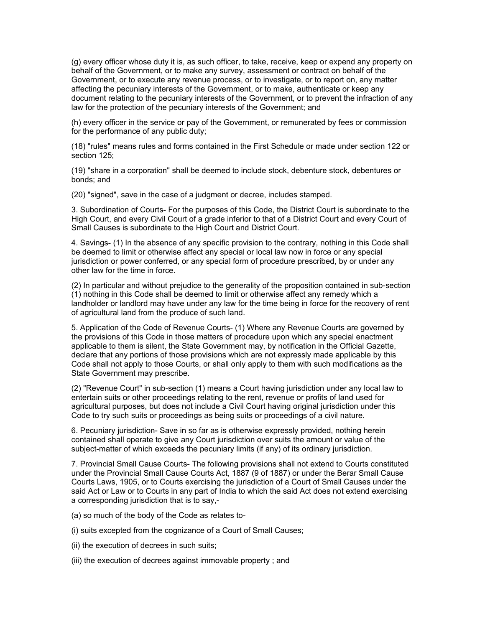(g) every officer whose duty it is, as such officer, to take, receive, keep or expend any property on behalf of the Government, or to make any survey, assessment or contract on behalf of the Government, or to execute any revenue process, or to investigate, or to report on, any matter affecting the pecuniary interests of the Government, or to make, authenticate or keep any document relating to the pecuniary interests of the Government, or to prevent the infraction of any law for the protection of the pecuniary interests of the Government; and

(h) every officer in the service or pay of the Government, or remunerated by fees or commission for the performance of any public duty;

(18) "rules" means rules and forms contained in the First Schedule or made under section 122 or section 125;

(19) "share in a corporation" shall be deemed to include stock, debenture stock, debentures or bonds; and

(20) "signed", save in the case of a judgment or decree, includes stamped.

3. Subordination of Courts- For the purposes of this Code, the District Court is subordinate to the High Court, and every Civil Court of a grade inferior to that of a District Court and every Court of Small Causes is subordinate to the High Court and District Court.

4. Savings- (1) In the absence of any specific provision to the contrary, nothing in this Code shall be deemed to limit or otherwise affect any special or local law now in force or any special jurisdiction or power conferred, or any special form of procedure prescribed, by or under any other law for the time in force.

(2) In particular and without prejudice to the generality of the proposition contained in sub-section (1) nothing in this Code shall be deemed to limit or otherwise affect any remedy which a landholder or landlord may have under any law for the time being in force for the recovery of rent of agricultural land from the produce of such land.

5. Application of the Code of Revenue Courts- (1) Where any Revenue Courts are governed by the provisions of this Code in those matters of procedure upon which any special enactment applicable to them is silent, the State Government may, by notification in the Official Gazette, declare that any portions of those provisions which are not expressly made applicable by this Code shall not apply to those Courts, or shall only apply to them with such modifications as the State Government may prescribe.

(2) "Revenue Court" in sub-section (1) means a Court having jurisdiction under any local law to entertain suits or other proceedings relating to the rent, revenue or profits of land used for agricultural purposes, but does not include a Civil Court having original jurisdiction under this Code to try such suits or proceedings as being suits or proceedings of a civil nature.

6. Pecuniary jurisdiction- Save in so far as is otherwise expressly provided, nothing herein contained shall operate to give any Court jurisdiction over suits the amount or value of the subject-matter of which exceeds the pecuniary limits (if any) of its ordinary jurisdiction.

7. Provincial Small Cause Courts- The following provisions shall not extend to Courts constituted under the Provincial Small Cause Courts Act, 1887 (9 of 1887) or under the Berar Small Cause Courts Laws, 1905, or to Courts exercising the jurisdiction of a Court of Small Causes under the said Act or Law or to Courts in any part of India to which the said Act does not extend exercising a corresponding jurisdiction that is to say,-

- (a) so much of the body of the Code as relates to-
- (i) suits excepted from the cognizance of a Court of Small Causes;
- (ii) the execution of decrees in such suits;
- (iii) the execution of decrees against immovable property ; and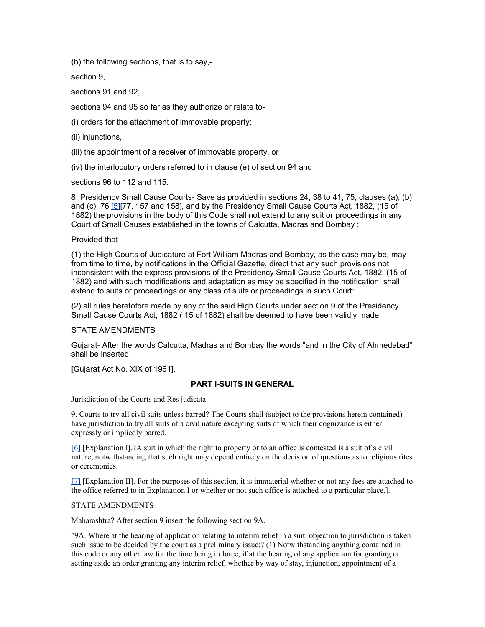(b) the following sections, that is to say,-

section 9,

sections 91 and 92,

sections 94 and 95 so far as they authorize or relate to-

(i) orders for the attachment of immovable property;

(ii) injunctions,

(iii) the appointment of a receiver of immovable property, or

(iv) the interlocutory orders referred to in clause (e) of section 94 and

sections 96 to 112 and 115.

8. Presidency Small Cause Courts- Save as provided in sections 24, 38 to 41, 75, clauses (a), (b) and (c), 76 [\[5\]\[](http://www.helplinelaw.com/bareact/bact.php?no=01&dsp=civil-proc-code#_edn5%23_edn5)77, 157 and 158], and by the Presidency Small Cause Courts Act, 1882, (15 of 1882) the provisions in the body of this Code shall not extend to any suit or proceedings in any Court of Small Causes established in the towns of Calcutta, Madras and Bombay :

### Provided that -

(1) the High Courts of Judicature at Fort William Madras and Bombay, as the case may be, may from time to time, by notifications in the Official Gazette, direct that any such provisions not inconsistent with the express provisions of the Presidency Small Cause Courts Act, 1882, (15 of 1882) and with such modifications and adaptation as may be specified in the notification, shall extend to suits or proceedings or any class of suits or proceedings in such Court:

(2) all rules heretofore made by any of the said High Courts under section 9 of the Presidency Small Cause Courts Act, 1882 ( 15 of 1882) shall be deemed to have been validly made.

### STATE AMENDMENTS

Gujarat- After the words Calcutta, Madras and Bombay the words "and in the City of Ahmedabad" shall be inserted.

[Gujarat Act No. XIX of 1961].

# **PART I-SUITS IN GENERAL**

Jurisdiction of the Courts and Res judicata

9. Courts to try all civil suits unless barred? The Courts shall (subject to the provisions herein contained) have jurisdiction to try all suits of a civil nature excepting suits of which their cognizance is either expressly or impliedly barred.

[\[6\]](http://www.helplinelaw.com/bareact/bact.php?no=02&dsp=civil-proc-code#_edn6%23_edn6) [Explanation I].?A suit in which the right to property or to an office is contested is a suit of a civil nature, notwithstanding that such right may depend entirely on the decision of questions as to religious rites or ceremonies.

[\[7\]](http://www.helplinelaw.com/bareact/bact.php?no=02&dsp=civil-proc-code#_edn7%23_edn7) [Explanation II]. For the purposes of this section, it is immaterial whether or not any fees are attached to the office referred to in Explanation I or whether or not such office is attached to a particular place.].

### STATE AMENDMENTS

Maharashtra? After section 9 insert the following section 9A.

"9A. Where at the hearing of application relating to interim relief in a suit, objection to jurisdiction is taken such issue to be decided by the court as a preliminary issue:? (1) Notwithstanding anything contained in this code or any other law for the time being in force, if at the hearing of any application for granting or setting aside an order granting any interim relief, whether by way of stay, injunction, appointment of a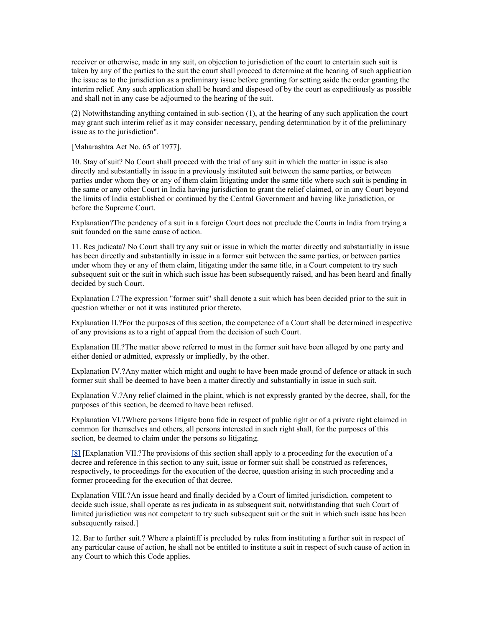receiver or otherwise, made in any suit, on objection to jurisdiction of the court to entertain such suit is taken by any of the parties to the suit the court shall proceed to determine at the hearing of such application the issue as to the jurisdiction as a preliminary issue before granting for setting aside the order granting the interim relief. Any such application shall be heard and disposed of by the court as expeditiously as possible and shall not in any case be adjourned to the hearing of the suit.

(2) Notwithstanding anything contained in sub-section (1), at the hearing of any such application the court may grant such interim relief as it may consider necessary, pending determination by it of the preliminary issue as to the jurisdiction".

[Maharashtra Act No. 65 of 1977].

10. Stay of suit? No Court shall proceed with the trial of any suit in which the matter in issue is also directly and substantially in issue in a previously instituted suit between the same parties, or between parties under whom they or any of them claim litigating under the same title where such suit is pending in the same or any other Court in India having jurisdiction to grant the relief claimed, or in any Court beyond the limits of India established or continued by the Central Government and having like jurisdiction, or before the Supreme Court.

Explanation?The pendency of a suit in a foreign Court does not preclude the Courts in India from trying a suit founded on the same cause of action.

11. Res judicata? No Court shall try any suit or issue in which the matter directly and substantially in issue has been directly and substantially in issue in a former suit between the same parties, or between parties under whom they or any of them claim, litigating under the same title, in a Court competent to try such subsequent suit or the suit in which such issue has been subsequently raised, and has been heard and finally decided by such Court.

Explanation I.?The expression "former suit" shall denote a suit which has been decided prior to the suit in question whether or not it was instituted prior thereto.

Explanation II.?For the purposes of this section, the competence of a Court shall be determined irrespective of any provisions as to a right of appeal from the decision of such Court.

Explanation III.?The matter above referred to must in the former suit have been alleged by one party and either denied or admitted, expressly or impliedly, by the other.

Explanation IV.?Any matter which might and ought to have been made ground of defence or attack in such former suit shall be deemed to have been a matter directly and substantially in issue in such suit.

Explanation V.?Any relief claimed in the plaint, which is not expressly granted by the decree, shall, for the purposes of this section, be deemed to have been refused.

Explanation VI.?Where persons litigate bona fide in respect of public right or of a private right claimed in common for themselves and others, all persons interested in such right shall, for the purposes of this section, be deemed to claim under the persons so litigating.

[\[8\]](http://www.helplinelaw.com/bareact/bact.php?no=02&dsp=civil-proc-code#_edn8%23_edn8) [Explanation VII.?The provisions of this section shall apply to a proceeding for the execution of a decree and reference in this section to any suit, issue or former suit shall be construed as references, respectively, to proceedings for the execution of the decree, question arising in such proceeding and a former proceeding for the execution of that decree.

Explanation VIII.?An issue heard and finally decided by a Court of limited jurisdiction, competent to decide such issue, shall operate as res judicata in as subsequent suit, notwithstanding that such Court of limited jurisdiction was not competent to try such subsequent suit or the suit in which such issue has been subsequently raised.]

12. Bar to further suit.? Where a plaintiff is precluded by rules from instituting a further suit in respect of any particular cause of action, he shall not be entitled to institute a suit in respect of such cause of action in any Court to which this Code applies.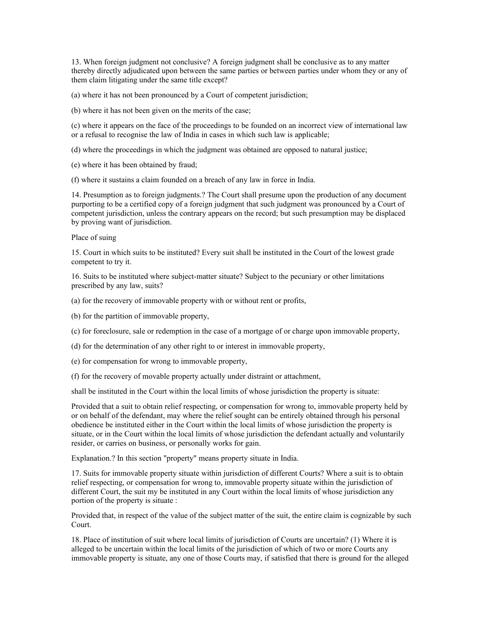13. When foreign judgment not conclusive? A foreign judgment shall be conclusive as to any matter thereby directly adjudicated upon between the same parties or between parties under whom they or any of them claim litigating under the same title except?

(a) where it has not been pronounced by a Court of competent jurisdiction;

(b) where it has not been given on the merits of the case;

(c) where it appears on the face of the proceedings to be founded on an incorrect view of international law or a refusal to recognise the law of India in cases in which such law is applicable;

(d) where the proceedings in which the judgment was obtained are opposed to natural justice;

(e) where it has been obtained by fraud;

(f) where it sustains a claim founded on a breach of any law in force in India.

14. Presumption as to foreign judgments.? The Court shall presume upon the production of any document purporting to be a certified copy of a foreign judgment that such judgment was pronounced by a Court of competent jurisdiction, unless the contrary appears on the record; but such presumption may be displaced by proving want of jurisdiction.

#### Place of suing

15. Court in which suits to be instituted? Every suit shall be instituted in the Court of the lowest grade competent to try it.

16. Suits to be instituted where subject-matter situate? Subject to the pecuniary or other limitations prescribed by any law, suits?

(a) for the recovery of immovable property with or without rent or profits,

(b) for the partition of immovable property,

(c) for foreclosure, sale or redemption in the case of a mortgage of or charge upon immovable property,

(d) for the determination of any other right to or interest in immovable property,

(e) for compensation for wrong to immovable property,

(f) for the recovery of movable property actually under distraint or attachment,

shall be instituted in the Court within the local limits of whose jurisdiction the property is situate:

Provided that a suit to obtain relief respecting, or compensation for wrong to, immovable property held by or on behalf of the defendant, may where the relief sought can be entirely obtained through his personal obedience be instituted either in the Court within the local limits of whose jurisdiction the property is situate, or in the Court within the local limits of whose jurisdiction the defendant actually and voluntarily resider, or carries on business, or personally works for gain.

Explanation.? In this section "property" means property situate in India.

17. Suits for immovable property situate within jurisdiction of different Courts? Where a suit is to obtain relief respecting, or compensation for wrong to, immovable property situate within the jurisdiction of different Court, the suit my be instituted in any Court within the local limits of whose jurisdiction any portion of the property is situate :

Provided that, in respect of the value of the subject matter of the suit, the entire claim is cognizable by such Court.

18. Place of institution of suit where local limits of jurisdiction of Courts are uncertain? (1) Where it is alleged to be uncertain within the local limits of the jurisdiction of which of two or more Courts any immovable property is situate, any one of those Courts may, if satisfied that there is ground for the alleged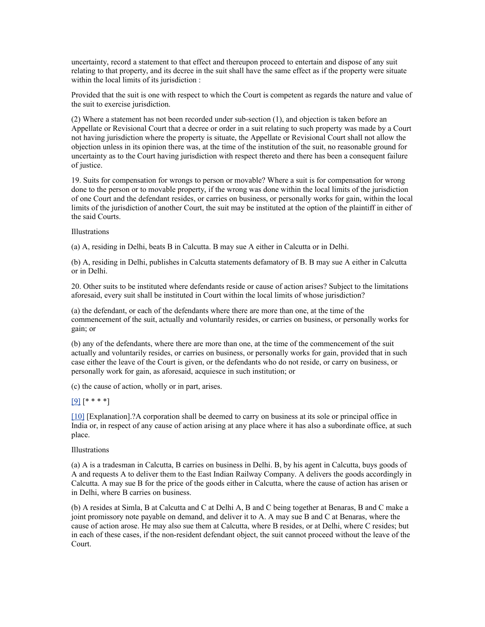uncertainty, record a statement to that effect and thereupon proceed to entertain and dispose of any suit relating to that property, and its decree in the suit shall have the same effect as if the property were situate within the local limits of its jurisdiction :

Provided that the suit is one with respect to which the Court is competent as regards the nature and value of the suit to exercise jurisdiction.

(2) Where a statement has not been recorded under sub-section (1), and objection is taken before an Appellate or Revisional Court that a decree or order in a suit relating to such property was made by a Court not having jurisdiction where the property is situate, the Appellate or Revisional Court shall not allow the objection unless in its opinion there was, at the time of the institution of the suit, no reasonable ground for uncertainty as to the Court having jurisdiction with respect thereto and there has been a consequent failure of justice.

19. Suits for compensation for wrongs to person or movable? Where a suit is for compensation for wrong done to the person or to movable property, if the wrong was done within the local limits of the jurisdiction of one Court and the defendant resides, or carries on business, or personally works for gain, within the local limits of the jurisdiction of another Court, the suit may be instituted at the option of the plaintiff in either of the said Courts.

#### Illustrations

(a) A, residing in Delhi, beats B in Calcutta. B may sue A either in Calcutta or in Delhi.

(b) A, residing in Delhi, publishes in Calcutta statements defamatory of B. B may sue A either in Calcutta or in Delhi.

20. Other suits to be instituted where defendants reside or cause of action arises? Subject to the limitations aforesaid, every suit shall be instituted in Court within the local limits of whose jurisdiction?

(a) the defendant, or each of the defendants where there are more than one, at the time of the commencement of the suit, actually and voluntarily resides, or carries on business, or personally works for gain; or

(b) any of the defendants, where there are more than one, at the time of the commencement of the suit actually and voluntarily resides, or carries on business, or personally works for gain, provided that in such case either the leave of the Court is given, or the defendants who do not reside, or carry on business, or personally work for gain, as aforesaid, acquiesce in such institution; or

(c) the cause of action, wholly or in part, arises.

### $[9]$  [\* \* \* \*]

[\[10\]](http://www.helplinelaw.com/bareact/bact.php?no=02&dsp=civil-proc-code#_edn10%23_edn10) [Explanation].?A corporation shall be deemed to carry on business at its sole or principal office in India or, in respect of any cause of action arising at any place where it has also a subordinate office, at such place.

#### Illustrations

(a) A is a tradesman in Calcutta, B carries on business in Delhi. B, by his agent in Calcutta, buys goods of A and requests A to deliver them to the East Indian Railway Company. A delivers the goods accordingly in Calcutta. A may sue B for the price of the goods either in Calcutta, where the cause of action has arisen or in Delhi, where B carries on business.

(b) A resides at Simla, B at Calcutta and C at Delhi A, B and C being together at Benaras, B and C make a joint promissory note payable on demand, and deliver it to A. A may sue B and C at Benaras, where the cause of action arose. He may also sue them at Calcutta, where B resides, or at Delhi, where C resides; but in each of these cases, if the non-resident defendant object, the suit cannot proceed without the leave of the Court.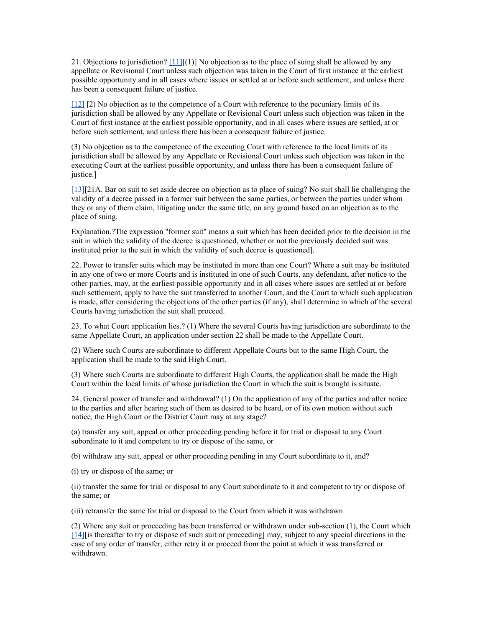21. Objections to jurisdiction?  $[11][(1)]$  No objection as to the place of suing shall be allowed by any appellate or Revisional Court unless such objection was taken in the Court of first instance at the earliest possible opportunity and in all cases where issues or settled at or before such settlement, and unless there has been a consequent failure of justice.

[\[12\]](http://www.helplinelaw.com/bareact/bact.php?no=02&dsp=civil-proc-code#_edn12%23_edn12) [2) No objection as to the competence of a Court with reference to the pecuniary limits of its jurisdiction shall be allowed by any Appellate or Revisional Court unless such objection was taken in the Court of first instance at the earliest possible opportunity, and in all cases where issues are settled, at or before such settlement, and unless there has been a consequent failure of justice.

(3) No objection as to the competence of the executing Court with reference to the local limits of its jurisdiction shall be allowed by any Appellate or Revisional Court unless such objection was taken in the executing Court at the earliest possible opportunity, and unless there has been a consequent failure of justice.]

[\[13\]\[](http://www.helplinelaw.com/bareact/bact.php?no=02&dsp=civil-proc-code#_edn13%23_edn13)21A. Bar on suit to set aside decree on objection as to place of suing? No suit shall lie challenging the validity of a decree passed in a former suit between the same parties, or between the parties under whom they or any of them claim, litigating under the same title, on any ground based on an objection as to the place of suing.

Explanation.?The expression "former suit" means a suit which has been decided prior to the decision in the suit in which the validity of the decree is questioned, whether or not the previously decided suit was instituted prior to the suit in which the validity of such decree is questioned].

22. Power to transfer suits which may be instituted in more than one Court? Where a suit may be instituted in any one of two or more Courts and is instituted in one of such Courts, any defendant, after notice to the other parties, may, at the earliest possible opportunity and in all cases where issues are settled at or before such settlement, apply to have the suit transferred to another Court, and the Court to which such application is made, after considering the objections of the other parties (if any), shall determine in which of the several Courts having jurisdiction the suit shall proceed.

23. To what Court application lies.? (1) Where the several Courts having jurisdiction are subordinate to the same Appellate Court, an application under section 22 shall be made to the Appellate Court.

(2) Where such Courts are subordinate to different Appellate Courts but to the same High Court, the application shall be made to the said High Court.

(3) Where such Courts are subordinate to different High Courts, the application shall be made the High Court within the local limits of whose jurisdiction the Court in which the suit is brought is situate.

24. General power of transfer and withdrawal? (1) On the application of any of the parties and after notice to the parties and after hearing such of them as desired to be heard, or of its own motion without such notice, the High Court or the District Court may at any stage?

(a) transfer any suit, appeal or other proceeding pending before it for trial or disposal to any Court subordinate to it and competent to try or dispose of the same, or

(b) withdraw any suit, appeal or other proceeding pending in any Court subordinate to it, and?

(i) try or dispose of the same; or

(ii) transfer the same for trial or disposal to any Court subordinate to it and competent to try or dispose of the same; or

(iii) retransfer the same for trial or disposal to the Court from which it was withdrawn

(2) Where any suit or proceeding has been transferred or withdrawn under sub-section (1), the Court which [\[14\]\[](http://www.helplinelaw.com/bareact/bact.php?no=02&dsp=civil-proc-code#_edn14%23_edn14)is thereafter to try or dispose of such suit or proceeding] may, subject to any special directions in the case of any order of transfer, either retry it or proceed from the point at which it was transferred or withdrawn.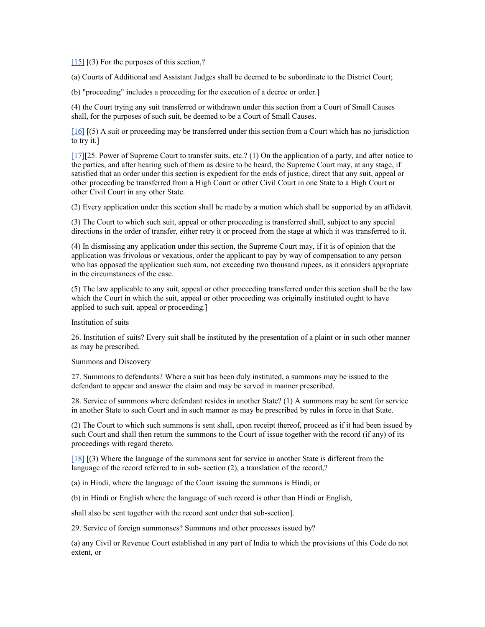[\[15\]](http://www.helplinelaw.com/bareact/bact.php?no=02&dsp=civil-proc-code#_edn15%23_edn15)  $(3)$  For the purposes of this section,?

(a) Courts of Additional and Assistant Judges shall be deemed to be subordinate to the District Court;

(b) "proceeding" includes a proceeding for the execution of a decree or order.]

(4) the Court trying any suit transferred or withdrawn under this section from a Court of Small Causes shall, for the purposes of such suit, be deemed to be a Court of Small Causes.

[\[16\]](http://www.helplinelaw.com/bareact/bact.php?no=02&dsp=civil-proc-code#_edn16%23_edn16) [(5) A suit or proceeding may be transferred under this section from a Court which has no jurisdiction to try it.]

[\[17\]\[](http://www.helplinelaw.com/bareact/bact.php?no=02&dsp=civil-proc-code#_edn17%23_edn17)25. Power of Supreme Court to transfer suits, etc.? (1) On the application of a party, and after notice to the parties, and after hearing such of them as desire to be heard, the Supreme Court may, at any stage, if satisfied that an order under this section is expedient for the ends of justice, direct that any suit, appeal or other proceeding be transferred from a High Court or other Civil Court in one State to a High Court or other Civil Court in any other State.

(2) Every application under this section shall be made by a motion which shall be supported by an affidavit.

(3) The Court to which such suit, appeal or other proceeding is transferred shall, subject to any special directions in the order of transfer, either retry it or proceed from the stage at which it was transferred to it.

(4) In dismissing any application under this section, the Supreme Court may, if it is of opinion that the application was frivolous or vexatious, order the applicant to pay by way of compensation to any person who has opposed the application such sum, not exceeding two thousand rupees, as it considers appropriate in the circumstances of the case.

(5) The law applicable to any suit, appeal or other proceeding transferred under this section shall be the law which the Court in which the suit, appeal or other proceeding was originally instituted ought to have applied to such suit, appeal or proceeding.]

Institution of suits

26. Institution of suits? Every suit shall be instituted by the presentation of a plaint or in such other manner as may be prescribed.

Summons and Discovery

27. Summons to defendants? Where a suit has been duly instituted, a summons may be issued to the defendant to appear and answer the claim and may be served in manner prescribed.

28. Service of summons where defendant resides in another State? (1) A summons may be sent for service in another State to such Court and in such manner as may be prescribed by rules in force in that State.

(2) The Court to which such summons is sent shall, upon receipt thereof, proceed as if it had been issued by such Court and shall then return the summons to the Court of issue together with the record (if any) of its proceedings with regard thereto.

[\[18\]](http://www.helplinelaw.com/bareact/bact.php?no=02&dsp=civil-proc-code#_edn18%23_edn18) [(3) Where the language of the summons sent for service in another State is different from the language of the record referred to in sub-section (2), a translation of the record,?

(a) in Hindi, where the language of the Court issuing the summons is Hindi, or

(b) in Hindi or English where the language of such record is other than Hindi or English,

shall also be sent together with the record sent under that sub-section].

29. Service of foreign summonses? Summons and other processes issued by?

(a) any Civil or Revenue Court established in any part of India to which the provisions of this Code do not extent, or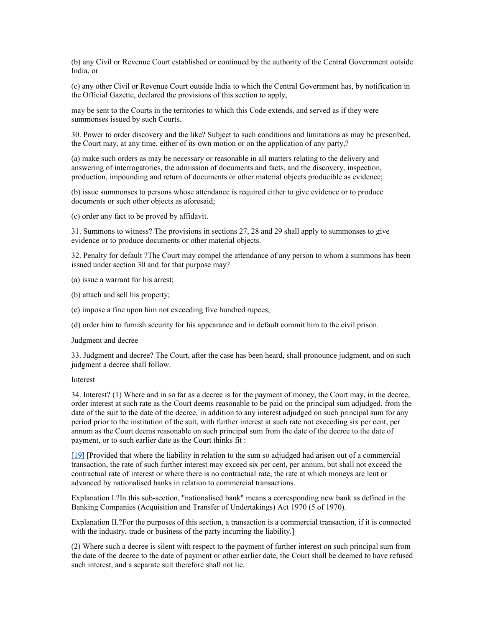(b) any Civil or Revenue Court established or continued by the authority of the Central Government outside India, or

(c) any other Civil or Revenue Court outside India to which the Central Government has, by notification in the Official Gazette, declared the provisions of this section to apply,

may be sent to the Courts in the territories to which this Code extends, and served as if they were summonses issued by such Courts.

30. Power to order discovery and the like? Subject to such conditions and limitations as may be prescribed, the Court may, at any time, either of its own motion or on the application of any party,?

(a) make such orders as may be necessary or reasonable in all matters relating to the delivery and answering of interrogatories, the admission of documents and facts, and the discovery, inspection, production, impounding and return of documents or other material objects producible as evidence;

(b) issue summonses to persons whose attendance is required either to give evidence or to produce documents or such other objects as aforesaid;

(c) order any fact to be proved by affidavit.

31. Summons to witness? The provisions in sections 27, 28 and 29 shall apply to summonses to give evidence or to produce documents or other material objects.

32. Penalty for default ?The Court may compel the attendance of any person to whom a summons has been issued under section 30 and for that purpose may?

(a) issue a warrant for his arrest;

- (b) attach and sell his property;
- (c) impose a fine upon him not exceeding five hundred rupees;

(d) order him to furnish security for his appearance and in default commit him to the civil prison.

Judgment and decree

33. Judgment and decree? The Court, after the case has been heard, shall pronounce judgment, and on such judgment a decree shall follow.

### Interest

34. Interest? (1) Where and in so far as a decree is for the payment of money, the Court may, in the decree, order interest at such rate as the Court deems reasonable to be paid on the principal sum adjudged, from the date of the suit to the date of the decree, in addition to any interest adjudged on such principal sum for any period prior to the institution of the suit, with further interest at such rate not exceeding six per cent, per annum as the Court deems reasonable on such principal sum from the date of the decree to the date of payment, or to such earlier date as the Court thinks fit :

[\[19\]](http://www.helplinelaw.com/bareact/bact.php?no=02&dsp=civil-proc-code#_edn19%23_edn19) [Provided that where the liability in relation to the sum so adjudged had arisen out of a commercial transaction, the rate of such further interest may exceed six per cent, per annum, but shall not exceed the contractual rate of interest or where there is no contractual rate, the rate at which moneys are lent or advanced by nationalised banks in relation to commercial transactions.

Explanation I.?In this sub-section, "nationalised bank" means a corresponding new bank as defined in the Banking Companies (Acquisition and Transfer of Undertakings) Act 1970 (5 of 1970).

Explanation II.?For the purposes of this section, a transaction is a commercial transaction, if it is connected with the industry, trade or business of the party incurring the liability.

(2) Where such a decree is silent with respect to the payment of further interest on such principal sum from the date of the decree to the date of payment or other earlier date, the Court shall be deemed to have refused such interest, and a separate suit therefore shall not lie.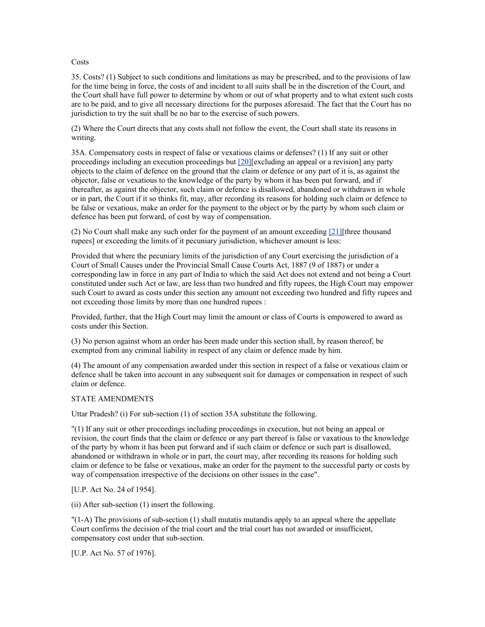#### Costs

35. Costs? (1) Subject to such conditions and limitations as may be prescribed, and to the provisions of law for the time being in force, the costs of and incident to all suits shall be in the discretion of the Court, and the Court shall have full power to determine by whom or out of what property and to what extent such costs are to be paid, and to give all necessary directions for the purposes aforesaid. The fact that the Court has no jurisdiction to try the suit shall be no bar to the exercise of such powers.

(2) Where the Court directs that any costs shall not follow the event, the Court shall state its reasons in writing.

35A. Compensatory costs in respect of false or vexatious claims or defenses? (1) If any suit or other proceedings including an execution proceedings but [\[20\]\[](http://www.helplinelaw.com/bareact/bact.php?no=02&dsp=civil-proc-code#_edn20%23_edn20)excluding an appeal or a revision] any party objects to the claim of defence on the ground that the claim or defence or any part of it is, as against the objector, false or vexatious to the knowledge of the party by whom it has been put forward, and if thereafter, as against the objector, such claim or defence is disallowed, abandoned or withdrawn in whole or in part, the Court if it so thinks fit, may, after recording its reasons for holding such claim or defence to be false or vexatious, make an order for the payment to the object or by the party by whom such claim or defence has been put forward, of cost by way of compensation.

(2) No Court shall make any such order for the payment of an amount exceeding [\[21\]\[](http://www.helplinelaw.com/bareact/bact.php?no=02&dsp=civil-proc-code#_edn21%23_edn21)three thousand rupees] or exceeding the limits of it pecuniary jurisdiction, whichever amount is less:

Provided that where the pecuniary limits of the jurisdiction of any Court exercising the jurisdiction of a Court of Small Causes under the Provincial Small Cause Courts Act, 1887 (9 of 1887) or under a corresponding law in force in any part of India to which the said Act does not extend and not being a Court constituted under such Act or law, are less than two hundred and fifty rupees, the High Court may empower such Court to award as costs under this section any amount not exceeding two hundred and fifty rupees and not exceeding those limits by more than one hundred rupees :

Provided, further, that the High Court may limit the amount or class of Courts is empowered to award as costs under this Section.

(3) No person against whom an order has been made under this section shall, by reason thereof, be exempted from any criminal liability in respect of any claim or defence made by him.

(4) The amount of any compensation awarded under this section in respect of a false or vexatious claim or defence shall be taken into account in any subsequent suit for damages or compensation in respect of such claim or defence.

### STATE AMENDMENTS

Uttar Pradesh? (i) For sub-section (1) of section 35A substitute the following.

"(1) If any suit or other proceedings including proceedings in execution, but not being an appeal or revision, the court finds that the claim or defence or any part thereof is false or vaxatious to the knowledge of the party by whom it has been put forward and if such claim or defence or such part is disallowed, abandoned or withdrawn in whole or in part, the court may, after recording its reasons for holding such claim or defence to be false or vexatious, make an order for the payment to the successful party or costs by way of compensation irrespective of the decisions on other issues in the case".

[U.P. Act No. 24 of 1954].

(ii) After sub-section (1) insert the following.

"(1-A) The provisions of sub-section (1) shall mutatis mutandis apply to an appeal where the appellate Court confirms the decision of the trial court and the trial court has not awarded or insufficient, compensatory cost under that sub-section.

[U.P. Act No. 57 of 1976].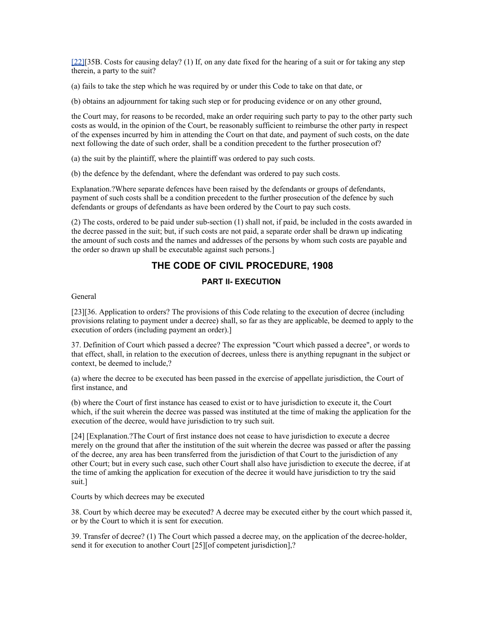[\[22\]\[](http://www.helplinelaw.com/bareact/bact.php?no=02&dsp=civil-proc-code#_edn22%23_edn22)35B. Costs for causing delay? (1) If, on any date fixed for the hearing of a suit or for taking any step therein, a party to the suit?

(a) fails to take the step which he was required by or under this Code to take on that date, or

(b) obtains an adjournment for taking such step or for producing evidence or on any other ground,

the Court may, for reasons to be recorded, make an order requiring such party to pay to the other party such costs as would, in the opinion of the Court, be reasonably sufficient to reimburse the other party in respect of the expenses incurred by him in attending the Court on that date, and payment of such costs, on the date next following the date of such order, shall be a condition precedent to the further prosecution of?

(a) the suit by the plaintiff, where the plaintiff was ordered to pay such costs.

(b) the defence by the defendant, where the defendant was ordered to pay such costs.

Explanation.?Where separate defences have been raised by the defendants or groups of defendants, payment of such costs shall be a condition precedent to the further prosecution of the defence by such defendants or groups of defendants as have been ordered by the Court to pay such costs.

(2) The costs, ordered to be paid under sub-section (1) shall not, if paid, be included in the costs awarded in the decree passed in the suit; but, if such costs are not paid, a separate order shall be drawn up indicating the amount of such costs and the names and addresses of the persons by whom such costs are payable and the order so drawn up shall be executable against such persons.]

# **THE CODE OF CIVIL PROCEDURE, 1908**

# **PART II- EXECUTION**

General

[23][36. Application to orders? The provisions of this Code relating to the execution of decree (including provisions relating to payment under a decree) shall, so far as they are applicable, be deemed to apply to the execution of orders (including payment an order).]

37. Definition of Court which passed a decree? The expression "Court which passed a decree", or words to that effect, shall, in relation to the execution of decrees, unless there is anything repugnant in the subject or context, be deemed to include,?

(a) where the decree to be executed has been passed in the exercise of appellate jurisdiction, the Court of first instance, and

(b) where the Court of first instance has ceased to exist or to have jurisdiction to execute it, the Court which, if the suit wherein the decree was passed was instituted at the time of making the application for the execution of the decree, would have jurisdiction to try such suit.

[24] [Explanation.?The Court of first instance does not cease to have jurisdiction to execute a decree merely on the ground that after the institution of the suit wherein the decree was passed or after the passing of the decree, any area has been transferred from the jurisdiction of that Court to the jurisdiction of any other Court; but in every such case, such other Court shall also have jurisdiction to execute the decree, if at the time of amking the application for execution of the decree it would have jurisdiction to try the said suit.]

Courts by which decrees may be executed

38. Court by which decree may be executed? A decree may be executed either by the court which passed it, or by the Court to which it is sent for execution.

39. Transfer of decree? (1) The Court which passed a decree may, on the application of the decree-holder, send it for execution to another Court [25][of competent jurisdiction],?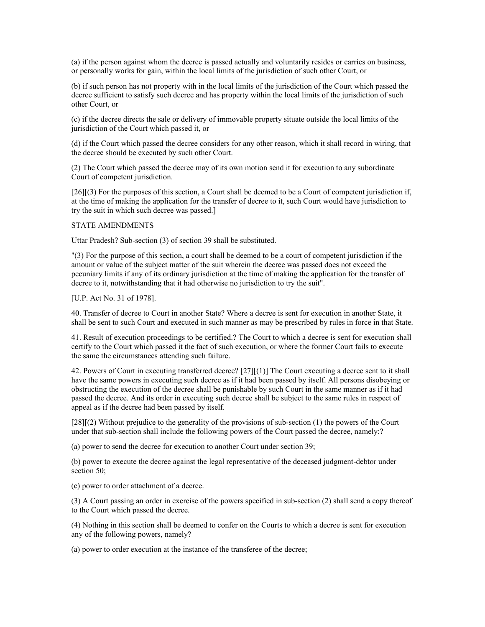(a) if the person against whom the decree is passed actually and voluntarily resides or carries on business, or personally works for gain, within the local limits of the jurisdiction of such other Court, or

(b) if such person has not property with in the local limits of the jurisdiction of the Court which passed the decree sufficient to satisfy such decree and has property within the local limits of the jurisdiction of such other Court, or

(c) if the decree directs the sale or delivery of immovable property situate outside the local limits of the jurisdiction of the Court which passed it, or

(d) if the Court which passed the decree considers for any other reason, which it shall record in wiring, that the decree should be executed by such other Court.

(2) The Court which passed the decree may of its own motion send it for execution to any subordinate Court of competent jurisdiction.

[26][(3) For the purposes of this section, a Court shall be deemed to be a Court of competent jurisdiction if, at the time of making the application for the transfer of decree to it, such Court would have jurisdiction to try the suit in which such decree was passed.]

#### STATE AMENDMENTS

Uttar Pradesh? Sub-section (3) of section 39 shall be substituted.

"(3) For the purpose of this section, a court shall be deemed to be a court of competent jurisdiction if the amount or value of the subject matter of the suit wherein the decree was passed does not exceed the pecuniary limits if any of its ordinary jurisdiction at the time of making the application for the transfer of decree to it, notwithstanding that it had otherwise no jurisdiction to try the suit".

### [U.P. Act No. 31 of 1978].

40. Transfer of decree to Court in another State? Where a decree is sent for execution in another State, it shall be sent to such Court and executed in such manner as may be prescribed by rules in force in that State.

41. Result of execution proceedings to be certified.? The Court to which a decree is sent for execution shall certify to the Court which passed it the fact of such execution, or where the former Court fails to execute the same the circumstances attending such failure.

42. Powers of Court in executing transferred decree? [27][(1)] The Court executing a decree sent to it shall have the same powers in executing such decree as if it had been passed by itself. All persons disobeying or obstructing the execution of the decree shall be punishable by such Court in the same manner as if it had passed the decree. And its order in executing such decree shall be subject to the same rules in respect of appeal as if the decree had been passed by itself.

[28][(2) Without prejudice to the generality of the provisions of sub-section (1) the powers of the Court under that sub-section shall include the following powers of the Court passed the decree, namely:?

(a) power to send the decree for execution to another Court under section 39;

(b) power to execute the decree against the legal representative of the deceased judgment-debtor under section 50:

(c) power to order attachment of a decree.

(3) A Court passing an order in exercise of the powers specified in sub-section (2) shall send a copy thereof to the Court which passed the decree.

(4) Nothing in this section shall be deemed to confer on the Courts to which a decree is sent for execution any of the following powers, namely?

(a) power to order execution at the instance of the transferee of the decree;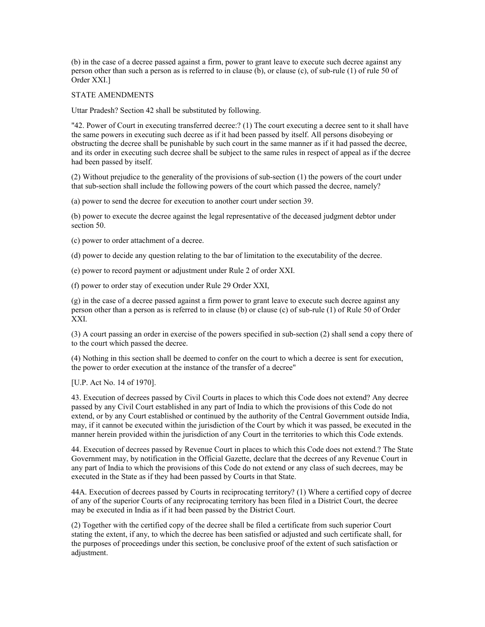(b) in the case of a decree passed against a firm, power to grant leave to execute such decree against any person other than such a person as is referred to in clause (b), or clause (c), of sub-rule (1) of rule 50 of Order XXI.]

#### STATE AMENDMENTS

Uttar Pradesh? Section 42 shall be substituted by following.

"42. Power of Court in executing transferred decree:? (1) The court executing a decree sent to it shall have the same powers in executing such decree as if it had been passed by itself. All persons disobeying or obstructing the decree shall be punishable by such court in the same manner as if it had passed the decree, and its order in executing such decree shall be subject to the same rules in respect of appeal as if the decree had been passed by itself.

(2) Without prejudice to the generality of the provisions of sub-section (1) the powers of the court under that sub-section shall include the following powers of the court which passed the decree, namely?

(a) power to send the decree for execution to another court under section 39.

(b) power to execute the decree against the legal representative of the deceased judgment debtor under section 50.

(c) power to order attachment of a decree.

(d) power to decide any question relating to the bar of limitation to the executability of the decree.

(e) power to record payment or adjustment under Rule 2 of order XXI.

(f) power to order stay of execution under Rule 29 Order XXI,

(g) in the case of a decree passed against a firm power to grant leave to execute such decree against any person other than a person as is referred to in clause (b) or clause (c) of sub-rule (1) of Rule 50 of Order XXI.

(3) A court passing an order in exercise of the powers specified in sub-section (2) shall send a copy there of to the court which passed the decree.

(4) Nothing in this section shall be deemed to confer on the court to which a decree is sent for execution, the power to order execution at the instance of the transfer of a decree"

[U.P. Act No. 14 of 1970].

43. Execution of decrees passed by Civil Courts in places to which this Code does not extend? Any decree passed by any Civil Court established in any part of India to which the provisions of this Code do not extend, or by any Court established or continued by the authority of the Central Government outside India, may, if it cannot be executed within the jurisdiction of the Court by which it was passed, be executed in the manner herein provided within the jurisdiction of any Court in the territories to which this Code extends.

44. Execution of decrees passed by Revenue Court in places to which this Code does not extend.? The State Government may, by notification in the Official Gazette, declare that the decrees of any Revenue Court in any part of India to which the provisions of this Code do not extend or any class of such decrees, may be executed in the State as if they had been passed by Courts in that State.

44A. Execution of decrees passed by Courts in reciprocating territory? (1) Where a certified copy of decree of any of the superior Courts of any reciprocating territory has been filed in a District Court, the decree may be executed in India as if it had been passed by the District Court.

(2) Together with the certified copy of the decree shall be filed a certificate from such superior Court stating the extent, if any, to which the decree has been satisfied or adjusted and such certificate shall, for the purposes of proceedings under this section, be conclusive proof of the extent of such satisfaction or adjustment.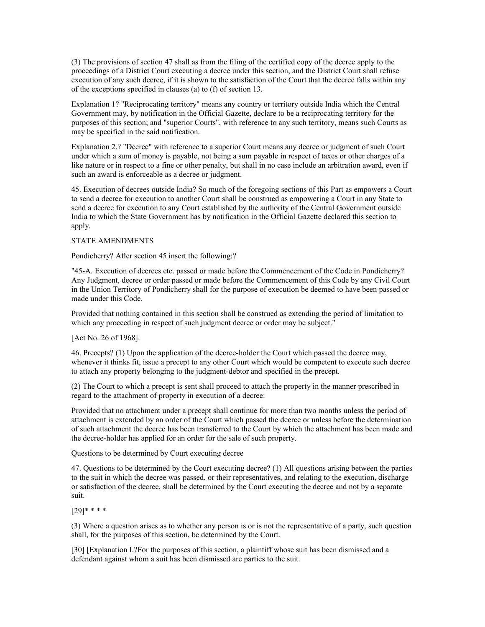(3) The provisions of section 47 shall as from the filing of the certified copy of the decree apply to the proceedings of a District Court executing a decree under this section, and the District Court shall refuse execution of any such decree, if it is shown to the satisfaction of the Court that the decree falls within any of the exceptions specified in clauses (a) to (f) of section 13.

Explanation 1? "Reciprocating territory" means any country or territory outside India which the Central Government may, by notification in the Official Gazette, declare to be a reciprocating territory for the purposes of this section; and "superior Courts", with reference to any such territory, means such Courts as may be specified in the said notification.

Explanation 2.? "Decree" with reference to a superior Court means any decree or judgment of such Court under which a sum of money is payable, not being a sum payable in respect of taxes or other charges of a like nature or in respect to a fine or other penalty, but shall in no case include an arbitration award, even if such an award is enforceable as a decree or judgment.

45. Execution of decrees outside India? So much of the foregoing sections of this Part as empowers a Court to send a decree for execution to another Court shall be construed as empowering a Court in any State to send a decree for execution to any Court established by the authority of the Central Government outside India to which the State Government has by notification in the Official Gazette declared this section to apply.

### STATE AMENDMENTS

Pondicherry? After section 45 insert the following:?

"45-A. Execution of decrees etc. passed or made before the Commencement of the Code in Pondicherry? Any Judgment, decree or order passed or made before the Commencement of this Code by any Civil Court in the Union Territory of Pondicherry shall for the purpose of execution be deemed to have been passed or made under this Code.

Provided that nothing contained in this section shall be construed as extending the period of limitation to which any proceeding in respect of such judgment decree or order may be subject."

[Act No. 26 of 1968].

46. Precepts? (1) Upon the application of the decree-holder the Court which passed the decree may, whenever it thinks fit, issue a precept to any other Court which would be competent to execute such decree to attach any property belonging to the judgment-debtor and specified in the precept.

(2) The Court to which a precept is sent shall proceed to attach the property in the manner prescribed in regard to the attachment of property in execution of a decree:

Provided that no attachment under a precept shall continue for more than two months unless the period of attachment is extended by an order of the Court which passed the decree or unless before the determination of such attachment the decree has been transferred to the Court by which the attachment has been made and the decree-holder has applied for an order for the sale of such property.

Questions to be determined by Court executing decree

47. Questions to be determined by the Court executing decree? (1) All questions arising between the parties to the suit in which the decree was passed, or their representatives, and relating to the execution, discharge or satisfaction of the decree, shall be determined by the Court executing the decree and not by a separate suit.

[29]\* \* \* \*

(3) Where a question arises as to whether any person is or is not the representative of a party, such question shall, for the purposes of this section, be determined by the Court.

[30] [Explanation I.?For the purposes of this section, a plaintiff whose suit has been dismissed and a defendant against whom a suit has been dismissed are parties to the suit.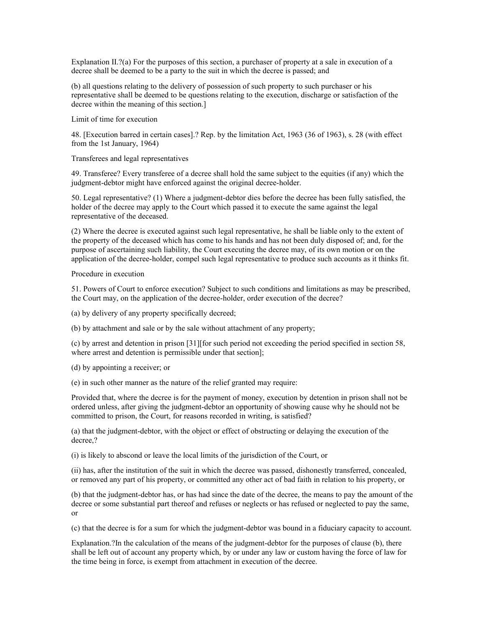Explanation II.?(a) For the purposes of this section, a purchaser of property at a sale in execution of a decree shall be deemed to be a party to the suit in which the decree is passed; and

(b) all questions relating to the delivery of possession of such property to such purchaser or his representative shall be deemed to be questions relating to the execution, discharge or satisfaction of the decree within the meaning of this section.]

Limit of time for execution

48. [Execution barred in certain cases].? Rep. by the limitation Act, 1963 (36 of 1963), s. 28 (with effect from the 1st January, 1964)

Transferees and legal representatives

49. Transferee? Every transferee of a decree shall hold the same subject to the equities (if any) which the judgment-debtor might have enforced against the original decree-holder.

50. Legal representative? (1) Where a judgment-debtor dies before the decree has been fully satisfied, the holder of the decree may apply to the Court which passed it to execute the same against the legal representative of the deceased.

(2) Where the decree is executed against such legal representative, he shall be liable only to the extent of the property of the deceased which has come to his hands and has not been duly disposed of; and, for the purpose of ascertaining such liability, the Court executing the decree may, of its own motion or on the application of the decree-holder, compel such legal representative to produce such accounts as it thinks fit.

Procedure in execution

51. Powers of Court to enforce execution? Subject to such conditions and limitations as may be prescribed, the Court may, on the application of the decree-holder, order execution of the decree?

(a) by delivery of any property specifically decreed;

(b) by attachment and sale or by the sale without attachment of any property;

(c) by arrest and detention in prison [31][for such period not exceeding the period specified in section 58, where arrest and detention is permissible under that section];

(d) by appointing a receiver; or

(e) in such other manner as the nature of the relief granted may require:

Provided that, where the decree is for the payment of money, execution by detention in prison shall not be ordered unless, after giving the judgment-debtor an opportunity of showing cause why he should not be committed to prison, the Court, for reasons recorded in writing, is satisfied?

(a) that the judgment-debtor, with the object or effect of obstructing or delaying the execution of the decree,?

(i) is likely to abscond or leave the local limits of the jurisdiction of the Court, or

(ii) has, after the institution of the suit in which the decree was passed, dishonestly transferred, concealed, or removed any part of his property, or committed any other act of bad faith in relation to his property, or

(b) that the judgment-debtor has, or has had since the date of the decree, the means to pay the amount of the decree or some substantial part thereof and refuses or neglects or has refused or neglected to pay the same, or

(c) that the decree is for a sum for which the judgment-debtor was bound in a fiduciary capacity to account.

Explanation.?In the calculation of the means of the judgment-debtor for the purposes of clause (b), there shall be left out of account any property which, by or under any law or custom having the force of law for the time being in force, is exempt from attachment in execution of the decree.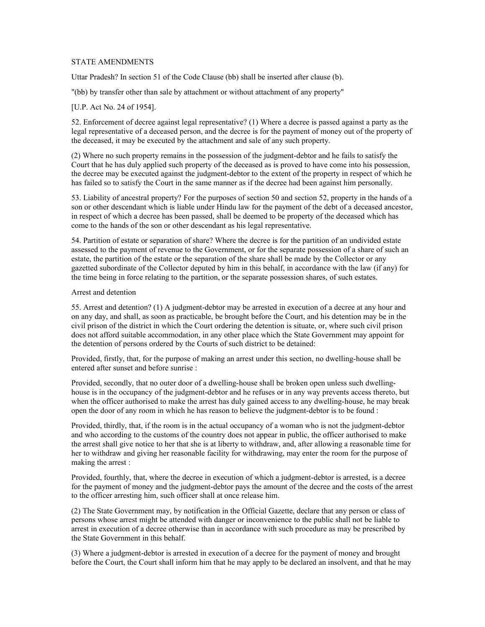### STATE AMENDMENTS

Uttar Pradesh? In section 51 of the Code Clause (bb) shall be inserted after clause (b).

"(bb) by transfer other than sale by attachment or without attachment of any property"

#### [U.P. Act No. 24 of 1954].

52. Enforcement of decree against legal representative? (1) Where a decree is passed against a party as the legal representative of a deceased person, and the decree is for the payment of money out of the property of the deceased, it may be executed by the attachment and sale of any such property.

(2) Where no such property remains in the possession of the judgment-debtor and he fails to satisfy the Court that he has duly applied such property of the deceased as is proved to have come into his possession, the decree may be executed against the judgment-debtor to the extent of the property in respect of which he has failed so to satisfy the Court in the same manner as if the decree had been against him personally.

53. Liability of ancestral property? For the purposes of section 50 and section 52, property in the hands of a son or other descendant which is liable under Hindu law for the payment of the debt of a deceased ancestor, in respect of which a decree has been passed, shall be deemed to be property of the deceased which has come to the hands of the son or other descendant as his legal representative.

54. Partition of estate or separation of share? Where the decree is for the partition of an undivided estate assessed to the payment of revenue to the Government, or for the separate possession of a share of such an estate, the partition of the estate or the separation of the share shall be made by the Collector or any gazetted subordinate of the Collector deputed by him in this behalf, in accordance with the law (if any) for the time being in force relating to the partition, or the separate possession shares, of such estates.

#### Arrest and detention

55. Arrest and detention? (1) A judgment-debtor may be arrested in execution of a decree at any hour and on any day, and shall, as soon as practicable, be brought before the Court, and his detention may be in the civil prison of the district in which the Court ordering the detention is situate, or, where such civil prison does not afford suitable accommodation, in any other place which the State Government may appoint for the detention of persons ordered by the Courts of such district to be detained:

Provided, firstly, that, for the purpose of making an arrest under this section, no dwelling-house shall be entered after sunset and before sunrise :

Provided, secondly, that no outer door of a dwelling-house shall be broken open unless such dwellinghouse is in the occupancy of the judgment-debtor and he refuses or in any way prevents access thereto, but when the officer authorised to make the arrest has duly gained access to any dwelling-house, he may break open the door of any room in which he has reason to believe the judgment-debtor is to be found :

Provided, thirdly, that, if the room is in the actual occupancy of a woman who is not the judgment-debtor and who according to the customs of the country does not appear in public, the officer authorised to make the arrest shall give notice to her that she is at liberty to withdraw, and, after allowing a reasonable time for her to withdraw and giving her reasonable facility for withdrawing, may enter the room for the purpose of making the arrest :

Provided, fourthly, that, where the decree in execution of which a judgment-debtor is arrested, is a decree for the payment of money and the judgment-debtor pays the amount of the decree and the costs of the arrest to the officer arresting him, such officer shall at once release him.

(2) The State Government may, by notification in the Official Gazette, declare that any person or class of persons whose arrest might be attended with danger or inconvenience to the public shall not be liable to arrest in execution of a decree otherwise than in accordance with such procedure as may be prescribed by the State Government in this behalf.

(3) Where a judgment-debtor is arrested in execution of a decree for the payment of money and brought before the Court, the Court shall inform him that he may apply to be declared an insolvent, and that he may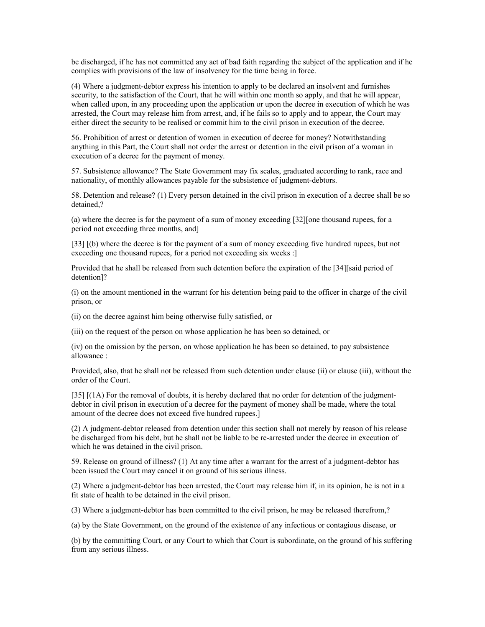be discharged, if he has not committed any act of bad faith regarding the subject of the application and if he complies with provisions of the law of insolvency for the time being in force.

(4) Where a judgment-debtor express his intention to apply to be declared an insolvent and furnishes security, to the satisfaction of the Court, that he will within one month so apply, and that he will appear, when called upon, in any proceeding upon the application or upon the decree in execution of which he was arrested, the Court may release him from arrest, and, if he fails so to apply and to appear, the Court may either direct the security to be realised or commit him to the civil prison in execution of the decree.

56. Prohibition of arrest or detention of women in execution of decree for money? Notwithstanding anything in this Part, the Court shall not order the arrest or detention in the civil prison of a woman in execution of a decree for the payment of money.

57. Subsistence allowance? The State Government may fix scales, graduated according to rank, race and nationality, of monthly allowances payable for the subsistence of judgment-debtors.

58. Detention and release? (1) Every person detained in the civil prison in execution of a decree shall be so detained,?

(a) where the decree is for the payment of a sum of money exceeding [32][one thousand rupees, for a period not exceeding three months, and]

[33] [(b) where the decree is for the payment of a sum of money exceeding five hundred rupees, but not exceeding one thousand rupees, for a period not exceeding six weeks :]

Provided that he shall be released from such detention before the expiration of the [34][said period of detention]?

(i) on the amount mentioned in the warrant for his detention being paid to the officer in charge of the civil prison, or

(ii) on the decree against him being otherwise fully satisfied, or

(iii) on the request of the person on whose application he has been so detained, or

(iv) on the omission by the person, on whose application he has been so detained, to pay subsistence allowance :

Provided, also, that he shall not be released from such detention under clause (ii) or clause (iii), without the order of the Court.

[35] [(1A) For the removal of doubts, it is hereby declared that no order for detention of the judgmentdebtor in civil prison in execution of a decree for the payment of money shall be made, where the total amount of the decree does not exceed five hundred rupees.]

(2) A judgment-debtor released from detention under this section shall not merely by reason of his release be discharged from his debt, but he shall not be liable to be re-arrested under the decree in execution of which he was detained in the civil prison.

59. Release on ground of illness? (1) At any time after a warrant for the arrest of a judgment-debtor has been issued the Court may cancel it on ground of his serious illness.

(2) Where a judgment-debtor has been arrested, the Court may release him if, in its opinion, he is not in a fit state of health to be detained in the civil prison.

(3) Where a judgment-debtor has been committed to the civil prison, he may be released therefrom,?

(a) by the State Government, on the ground of the existence of any infectious or contagious disease, or

(b) by the committing Court, or any Court to which that Court is subordinate, on the ground of his suffering from any serious illness.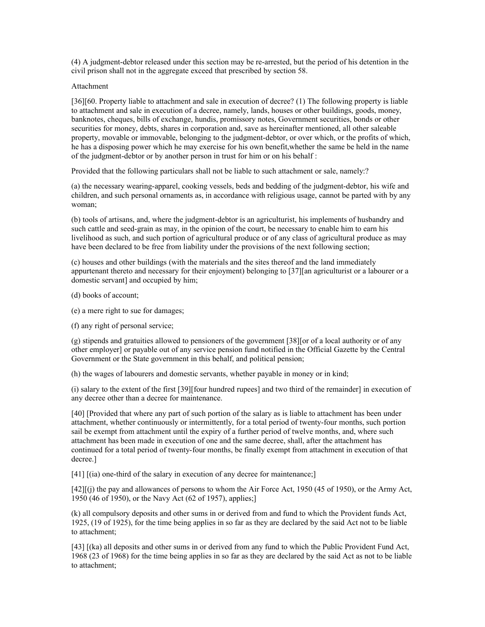(4) A judgment-debtor released under this section may be re-arrested, but the period of his detention in the civil prison shall not in the aggregate exceed that prescribed by section 58.

#### Attachment

[36][60. Property liable to attachment and sale in execution of decree? (1) The following property is liable to attachment and sale in execution of a decree, namely, lands, houses or other buildings, goods, money, banknotes, cheques, bills of exchange, hundis, promissory notes, Government securities, bonds or other securities for money, debts, shares in corporation and, save as hereinafter mentioned, all other saleable property, movable or immovable, belonging to the judgment-debtor, or over which, or the profits of which, he has a disposing power which he may exercise for his own benefit,whether the same be held in the name of the judgment-debtor or by another person in trust for him or on his behalf :

Provided that the following particulars shall not be liable to such attachment or sale, namely:?

(a) the necessary wearing-apparel, cooking vessels, beds and bedding of the judgment-debtor, his wife and children, and such personal ornaments as, in accordance with religious usage, cannot be parted with by any woman;

(b) tools of artisans, and, where the judgment-debtor is an agriculturist, his implements of husbandry and such cattle and seed-grain as may, in the opinion of the court, be necessary to enable him to earn his livelihood as such, and such portion of agricultural produce or of any class of agricultural produce as may have been declared to be free from liability under the provisions of the next following section;

(c) houses and other buildings (with the materials and the sites thereof and the land immediately appurtenant thereto and necessary for their enjoyment) belonging to [37][an agriculturist or a labourer or a domestic servant] and occupied by him;

(d) books of account;

(e) a mere right to sue for damages;

(f) any right of personal service;

(g) stipends and gratuities allowed to pensioners of the government [38][or of a local authority or of any other employer] or payable out of any service pension fund notified in the Official Gazette by the Central Government or the State government in this behalf, and political pension;

(h) the wages of labourers and domestic servants, whether payable in money or in kind;

(i) salary to the extent of the first [39][four hundred rupees] and two third of the remainder] in execution of any decree other than a decree for maintenance.

[40] [Provided that where any part of such portion of the salary as is liable to attachment has been under attachment, whether continuously or intermittently, for a total period of twenty-four months, such portion sail be exempt from attachment until the expiry of a further period of twelve months, and, where such attachment has been made in execution of one and the same decree, shall, after the attachment has continued for a total period of twenty-four months, be finally exempt from attachment in execution of that decree.]

[41] [(ia) one-third of the salary in execution of any decree for maintenance;]

[42][(i) the pay and allowances of persons to whom the Air Force Act, 1950 (45 of 1950), or the Army Act, 1950 (46 of 1950), or the Navy Act (62 of 1957), applies;]

(k) all compulsory deposits and other sums in or derived from and fund to which the Provident funds Act, 1925, (19 of 1925), for the time being applies in so far as they are declared by the said Act not to be liable to attachment;

[43] [(ka) all deposits and other sums in or derived from any fund to which the Public Provident Fund Act, 1968 (23 of 1968) for the time being applies in so far as they are declared by the said Act as not to be liable to attachment;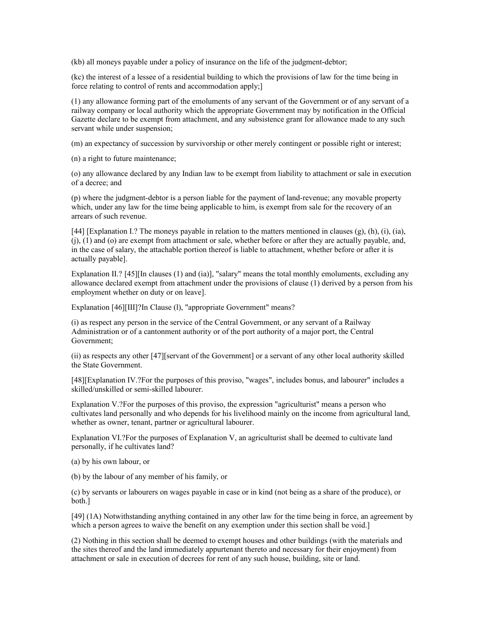(kb) all moneys payable under a policy of insurance on the life of the judgment-debtor;

(kc) the interest of a lessee of a residential building to which the provisions of law for the time being in force relating to control of rents and accommodation apply;]

(1) any allowance forming part of the emoluments of any servant of the Government or of any servant of a railway company or local authority which the appropriate Government may by notification in the Official Gazette declare to be exempt from attachment, and any subsistence grant for allowance made to any such servant while under suspension;

(m) an expectancy of succession by survivorship or other merely contingent or possible right or interest;

(n) a right to future maintenance;

(o) any allowance declared by any Indian law to be exempt from liability to attachment or sale in execution of a decree; and

(p) where the judgment-debtor is a person liable for the payment of land-revenue; any movable property which, under any law for the time being applicable to him, is exempt from sale for the recovery of an arrears of such revenue.

[44] [Explanation I.? The moneys payable in relation to the matters mentioned in clauses (g), (h), (i), (ia), (j), (1) and (o) are exempt from attachment or sale, whether before or after they are actually payable, and, in the case of salary, the attachable portion thereof is liable to attachment, whether before or after it is actually payable].

Explanation II.? [45][In clauses (1) and (ia)], "salary" means the total monthly emoluments, excluding any allowance declared exempt from attachment under the provisions of clause (1) derived by a person from his employment whether on duty or on leave].

Explanation [46][III]?In Clause (1), "appropriate Government" means?

(i) as respect any person in the service of the Central Government, or any servant of a Railway Administration or of a cantonment authority or of the port authority of a major port, the Central Government;

(ii) as respects any other [47][servant of the Government] or a servant of any other local authority skilled the State Government.

[48][Explanation IV.?For the purposes of this proviso, "wages", includes bonus, and labourer" includes a skilled/unskilled or semi-skilled labourer.

Explanation V.?For the purposes of this proviso, the expression "agriculturist" means a person who cultivates land personally and who depends for his livelihood mainly on the income from agricultural land, whether as owner, tenant, partner or agricultural labourer.

Explanation VI.?For the purposes of Explanation V, an agriculturist shall be deemed to cultivate land personally, if he cultivates land?

(a) by his own labour, or

(b) by the labour of any member of his family, or

(c) by servants or labourers on wages payable in case or in kind (not being as a share of the produce), or both.]

[49] (1A) Notwithstanding anything contained in any other law for the time being in force, an agreement by which a person agrees to waive the benefit on any exemption under this section shall be void.

(2) Nothing in this section shall be deemed to exempt houses and other buildings (with the materials and the sites thereof and the land immediately appurtenant thereto and necessary for their enjoyment) from attachment or sale in execution of decrees for rent of any such house, building, site or land.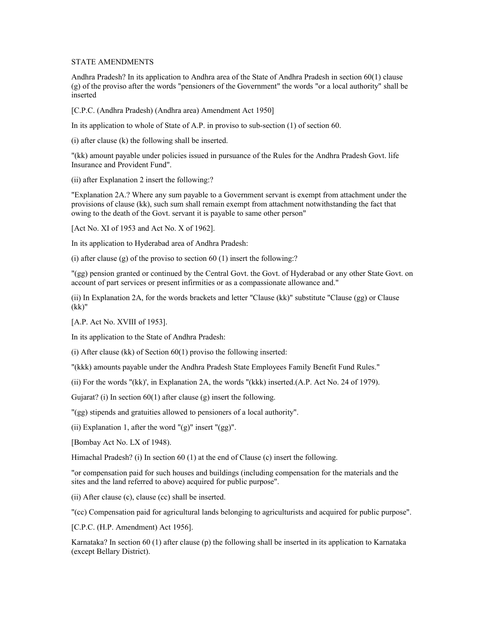#### STATE AMENDMENTS

Andhra Pradesh? In its application to Andhra area of the State of Andhra Pradesh in section 60(1) clause (g) of the proviso after the words "pensioners of the Government" the words "or a local authority" shall be inserted

[C.P.C. (Andhra Pradesh) (Andhra area) Amendment Act 1950]

In its application to whole of State of A.P. in proviso to sub-section (1) of section 60.

(i) after clause (k) the following shall be inserted.

"(kk) amount payable under policies issued in pursuance of the Rules for the Andhra Pradesh Govt. life Insurance and Provident Fund".

(ii) after Explanation 2 insert the following:?

"Explanation 2A.? Where any sum payable to a Government servant is exempt from attachment under the provisions of clause (kk), such sum shall remain exempt from attachment notwithstanding the fact that owing to the death of the Govt. servant it is payable to same other person"

[Act No. XI of 1953 and Act No. X of 1962].

In its application to Hyderabad area of Andhra Pradesh:

(i) after clause (g) of the proviso to section 60 (1) insert the following:?

"(gg) pension granted or continued by the Central Govt. the Govt. of Hyderabad or any other State Govt. on account of part services or present infirmities or as a compassionate allowance and."

(ii) In Explanation 2A, for the words brackets and letter "Clause (kk)" substitute "Clause (gg) or Clause (kk)"

[A.P. Act No. XVIII of 1953].

In its application to the State of Andhra Pradesh:

(i) After clause (kk) of Section  $60(1)$  proviso the following inserted:

"(kkk) amounts payable under the Andhra Pradesh State Employees Family Benefit Fund Rules."

(ii) For the words "(kk)', in Explanation 2A, the words "(kkk) inserted.(A.P. Act No. 24 of 1979).

Gujarat? (i) In section  $60(1)$  after clause (g) insert the following.

"(gg) stipends and gratuities allowed to pensioners of a local authority".

(ii) Explanation 1, after the word " $(g)$ " insert " $(gg)$ ".

[Bombay Act No. LX of 1948).

Himachal Pradesh? (i) In section 60 (1) at the end of Clause (c) insert the following.

"or compensation paid for such houses and buildings (including compensation for the materials and the sites and the land referred to above) acquired for public purpose".

(ii) After clause (c), clause (cc) shall be inserted.

"(cc) Compensation paid for agricultural lands belonging to agriculturists and acquired for public purpose".

[C.P.C. (H.P. Amendment) Act 1956].

Karnataka? In section 60 (1) after clause (p) the following shall be inserted in its application to Karnataka (except Bellary District).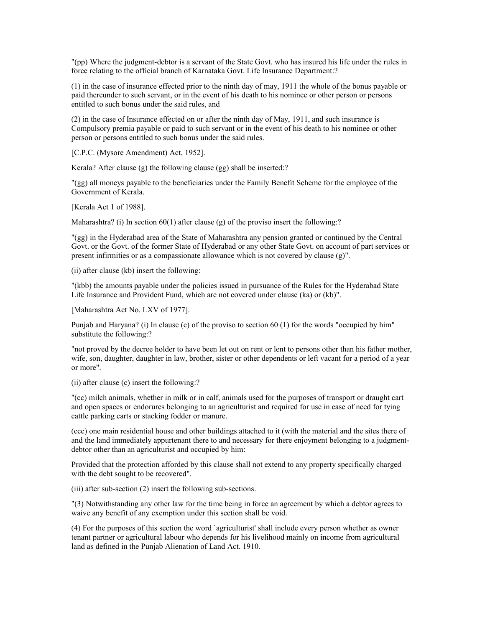"(pp) Where the judgment-debtor is a servant of the State Govt. who has insured his life under the rules in force relating to the official branch of Karnataka Govt. Life Insurance Department:?

(1) in the case of insurance effected prior to the ninth day of may, 1911 the whole of the bonus payable or paid thereunder to such servant, or in the event of his death to his nominee or other person or persons entitled to such bonus under the said rules, and

(2) in the case of Insurance effected on or after the ninth day of May, 1911, and such insurance is Compulsory premia payable or paid to such servant or in the event of his death to his nominee or other person or persons entitled to such bonus under the said rules.

[C.P.C. (Mysore Amendment) Act, 1952].

Kerala? After clause (g) the following clause (gg) shall be inserted:?

"(gg) all moneys payable to the beneficiaries under the Family Benefit Scheme for the employee of the Government of Kerala.

[Kerala Act 1 of 1988].

Maharashtra? (i) In section 60(1) after clause (g) of the proviso insert the following:?

"(gg) in the Hyderabad area of the State of Maharashtra any pension granted or continued by the Central Govt. or the Govt. of the former State of Hyderabad or any other State Govt. on account of part services or present infirmities or as a compassionate allowance which is not covered by clause (g)".

(ii) after clause (kb) insert the following:

"(kbb) the amounts payable under the policies issued in pursuance of the Rules for the Hyderabad State Life Insurance and Provident Fund, which are not covered under clause (ka) or (kb)".

[Maharashtra Act No. LXV of 1977].

Punjab and Haryana? (i) In clause (c) of the proviso to section 60 (1) for the words "occupied by him" substitute the following:?

"not proved by the decree holder to have been let out on rent or lent to persons other than his father mother, wife, son, daughter, daughter in law, brother, sister or other dependents or left vacant for a period of a year or more".

(ii) after clause (c) insert the following:?

"(cc) milch animals, whether in milk or in calf, animals used for the purposes of transport or draught cart and open spaces or endorures belonging to an agriculturist and required for use in case of need for tying cattle parking carts or stacking fodder or manure.

(ccc) one main residential house and other buildings attached to it (with the material and the sites there of and the land immediately appurtenant there to and necessary for there enjoyment belonging to a judgmentdebtor other than an agriculturist and occupied by him:

Provided that the protection afforded by this clause shall not extend to any property specifically charged with the debt sought to be recovered".

(iii) after sub-section (2) insert the following sub-sections.

"(3) Notwithstanding any other law for the time being in force an agreement by which a debtor agrees to waive any benefit of any exemption under this section shall be void.

(4) For the purposes of this section the word `agriculturist' shall include every person whether as owner tenant partner or agricultural labour who depends for his livelihood mainly on income from agricultural land as defined in the Punjab Alienation of Land Act. 1910.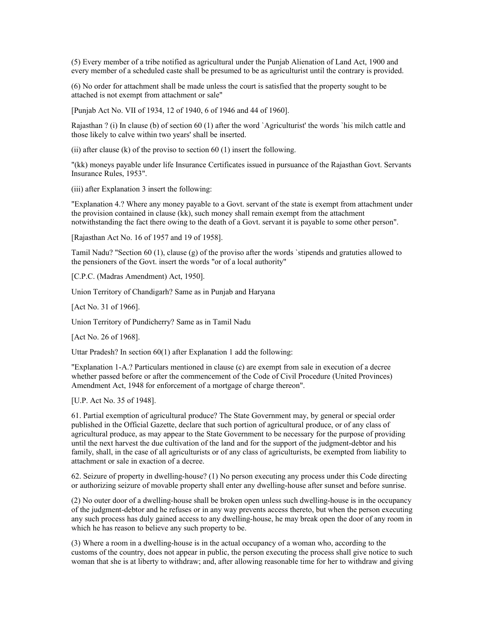(5) Every member of a tribe notified as agricultural under the Punjab Alienation of Land Act, 1900 and every member of a scheduled caste shall be presumed to be as agriculturist until the contrary is provided.

(6) No order for attachment shall be made unless the court is satisfied that the property sought to be attached is not exempt from attachment or sale"

[Punjab Act No. VII of 1934, 12 of 1940, 6 of 1946 and 44 of 1960].

Rajasthan ? (i) In clause (b) of section 60 (1) after the word `Agriculturist' the words `his milch cattle and those likely to calve within two years' shall be inserted.

(ii) after clause (k) of the proviso to section  $60(1)$  insert the following.

"(kk) moneys payable under life Insurance Certificates issued in pursuance of the Rajasthan Govt. Servants Insurance Rules, 1953".

(iii) after Explanation 3 insert the following:

"Explanation 4.? Where any money payable to a Govt. servant of the state is exempt from attachment under the provision contained in clause (kk), such money shall remain exempt from the attachment notwithstanding the fact there owing to the death of a Govt. servant it is payable to some other person".

[Rajasthan Act No. 16 of 1957 and 19 of 1958].

Tamil Nadu? "Section 60 (1), clause (g) of the proviso after the words `stipends and gratuties allowed to the pensioners of the Govt. insert the words "or of a local authority"

[C.P.C. (Madras Amendment) Act, 1950].

Union Territory of Chandigarh? Same as in Punjab and Haryana

[Act No. 31 of 1966].

Union Territory of Pundicherry? Same as in Tamil Nadu

[Act No. 26 of 1968].

Uttar Pradesh? In section 60(1) after Explanation 1 add the following:

"Explanation 1-A.? Particulars mentioned in clause (c) are exempt from sale in execution of a decree whether passed before or after the commencement of the Code of Civil Procedure (United Provinces) Amendment Act, 1948 for enforcement of a mortgage of charge thereon".

[U.P. Act No. 35 of 1948].

61. Partial exemption of agricultural produce? The State Government may, by general or special order published in the Official Gazette, declare that such portion of agricultural produce, or of any class of agricultural produce, as may appear to the State Government to be necessary for the purpose of providing until the next harvest the due cultivation of the land and for the support of the judgment-debtor and his family, shall, in the case of all agriculturists or of any class of agriculturists, be exempted from liability to attachment or sale in exaction of a decree.

62. Seizure of property in dwelling-house? (1) No person executing any process under this Code directing or authorizing seizure of movable property shall enter any dwelling-house after sunset and before sunrise.

(2) No outer door of a dwelling-house shall be broken open unless such dwelling-house is in the occupancy of the judgment-debtor and he refuses or in any way prevents access thereto, but when the person executing any such process has duly gained access to any dwelling-house, he may break open the door of any room in which he has reason to believe any such property to be.

(3) Where a room in a dwelling-house is in the actual occupancy of a woman who, according to the customs of the country, does not appear in public, the person executing the process shall give notice to such woman that she is at liberty to withdraw; and, after allowing reasonable time for her to withdraw and giving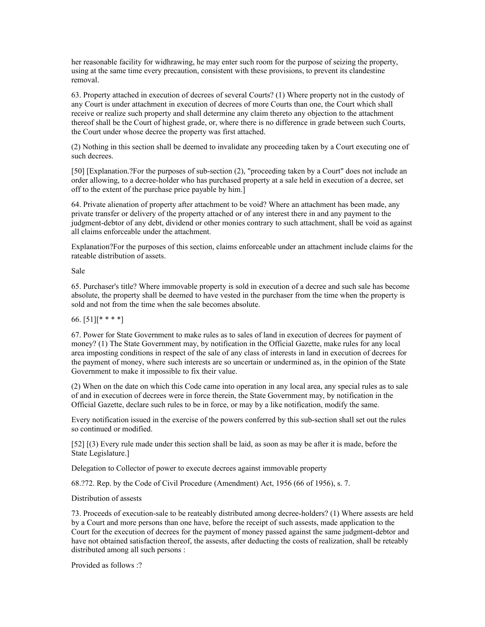her reasonable facility for widhrawing, he may enter such room for the purpose of seizing the property, using at the same time every precaution, consistent with these provisions, to prevent its clandestine removal.

63. Property attached in execution of decrees of several Courts? (1) Where property not in the custody of any Court is under attachment in execution of decrees of more Courts than one, the Court which shall receive or realize such property and shall determine any claim thereto any objection to the attachment thereof shall be the Court of highest grade, or, where there is no difference in grade between such Courts, the Court under whose decree the property was first attached.

(2) Nothing in this section shall be deemed to invalidate any proceeding taken by a Court executing one of such decrees.

[50] [Explanation.?For the purposes of sub-section (2), "proceeding taken by a Court" does not include an order allowing, to a decree-holder who has purchased property at a sale held in execution of a decree, set off to the extent of the purchase price payable by him.]

64. Private alienation of property after attachment to be void? Where an attachment has been made, any private transfer or delivery of the property attached or of any interest there in and any payment to the judgment-debtor of any debt, dividend or other monies contrary to such attachment, shall be void as against all claims enforceable under the attachment.

Explanation?For the purposes of this section, claims enforceable under an attachment include claims for the rateable distribution of assets.

Sale

65. Purchaser's title? Where immovable property is sold in execution of a decree and such sale has become absolute, the property shall be deemed to have vested in the purchaser from the time when the property is sold and not from the time when the sale becomes absolute.

### 66.  $[51]$ [\* \* \* \*]

67. Power for State Government to make rules as to sales of land in execution of decrees for payment of money? (1) The State Government may, by notification in the Official Gazette, make rules for any local area imposting conditions in respect of the sale of any class of interests in land in execution of decrees for the payment of money, where such interests are so uncertain or undermined as, in the opinion of the State Government to make it impossible to fix their value.

(2) When on the date on which this Code came into operation in any local area, any special rules as to sale of and in execution of decrees were in force therein, the State Government may, by notification in the Official Gazette, declare such rules to be in force, or may by a like notification, modify the same.

Every notification issued in the exercise of the powers conferred by this sub-section shall set out the rules so continued or modified.

[52] [(3) Every rule made under this section shall be laid, as soon as may be after it is made, before the State Legislature.]

Delegation to Collector of power to execute decrees against immovable property

68.?72. Rep. by the Code of Civil Procedure (Amendment) Act, 1956 (66 of 1956), s. 7.

Distribution of assests

73. Proceeds of execution-sale to be reateably distributed among decree-holders? (1) Where assests are held by a Court and more persons than one have, before the receipt of such assests, made application to the Court for the execution of decrees for the payment of money passed against the same judgment-debtor and have not obtained satisfaction thereof, the assests, after deducting the costs of realization, shall be reteably distributed among all such persons :

Provided as follows  $\cdot$ ?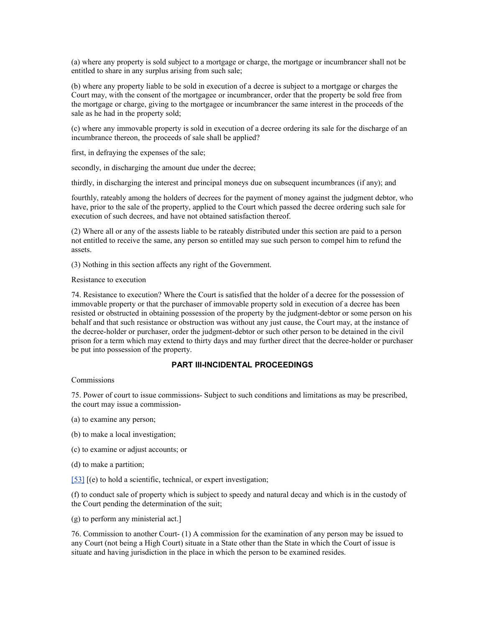(a) where any property is sold subject to a mortgage or charge, the mortgage or incumbrancer shall not be entitled to share in any surplus arising from such sale;

(b) where any property liable to be sold in execution of a decree is subject to a mortgage or charges the Court may, with the consent of the mortgagee or incumbrancer, order that the property be sold free from the mortgage or charge, giving to the mortgagee or incumbrancer the same interest in the proceeds of the sale as he had in the property sold;

(c) where any immovable property is sold in execution of a decree ordering its sale for the discharge of an incumbrance thereon, the proceeds of sale shall be applied?

first, in defraying the expenses of the sale;

secondly, in discharging the amount due under the decree;

thirdly, in discharging the interest and principal moneys due on subsequent incumbrances (if any); and

fourthly, rateably among the holders of decrees for the payment of money against the judgment debtor, who have, prior to the sale of the property, applied to the Court which passed the decree ordering such sale for execution of such decrees, and have not obtained satisfaction thereof.

(2) Where all or any of the assests liable to be rateably distributed under this section are paid to a person not entitled to receive the same, any person so entitled may sue such person to compel him to refund the assets.

(3) Nothing in this section affects any right of the Government.

### Resistance to execution

74. Resistance to execution? Where the Court is satisfied that the holder of a decree for the possession of immovable property or that the purchaser of immovable property sold in execution of a decree has been resisted or obstructed in obtaining possession of the property by the judgment-debtor or some person on his behalf and that such resistance or obstruction was without any just cause, the Court may, at the instance of the decree-holder or purchaser, order the judgment-debtor or such other person to be detained in the civil prison for a term which may extend to thirty days and may further direct that the decree-holder or purchaser be put into possession of the property.

# **PART III-INCIDENTAL PROCEEDINGS**

### **Commissions**

75. Power of court to issue commissions- Subject to such conditions and limitations as may be prescribed, the court may issue a commission-

- (a) to examine any person;
- (b) to make a local investigation;
- (c) to examine or adjust accounts; or
- (d) to make a partition;
- [\[53\]](http://www.helplinelaw.com/bareact/bact.php?no=04&dsp=civil-proc-code#_edn53%23_edn53) [(e) to hold a scientific, technical, or expert investigation;

(f) to conduct sale of property which is subject to speedy and natural decay and which is in the custody of the Court pending the determination of the suit;

(g) to perform any ministerial act.]

76. Commission to another Court- (1) A commission for the examination of any person may be issued to any Court (not being a High Court) situate in a State other than the State in which the Court of issue is situate and having jurisdiction in the place in which the person to be examined resides.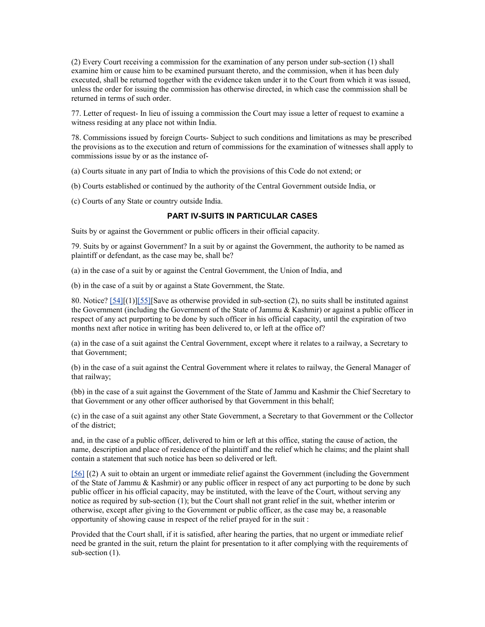(2) Every Court receiving a commission for the examination of any person under sub-section (1) shall examine him or cause him to be examined pursuant thereto, and the commission, when it has been duly executed, shall be returned together with the evidence taken under it to the Court from which it was issued, unless the order for issuing the commission has otherwise directed, in which case the commission shall be returned in terms of such order.

77. Letter of request- In lieu of issuing a commission the Court may issue a letter of request to examine a witness residing at any place not within India.

78. Commissions issued by foreign Courts- Subject to such conditions and limitations as may be prescribed the provisions as to the execution and return of commissions for the examination of witnesses shall apply to commissions issue by or as the instance of-

(a) Courts situate in any part of India to which the provisions of this Code do not extend; or

- (b) Courts established or continued by the authority of the Central Government outside India, or
- (c) Courts of any State or country outside India.

### **PART IV-SUITS IN PARTICULAR CASES**

Suits by or against the Government or public officers in their official capacity.

79. Suits by or against Government? In a suit by or against the Government, the authority to be named as plaintiff or defendant, as the case may be, shall be?

(a) in the case of a suit by or against the Central Government, the Union of India, and

(b) in the case of a suit by or against a State Government, the State.

80. Notice? [\[54\]\[](http://www.helplinelaw.com/bareact/bact.php?no=05&dsp=civil-proc-code#_edn54%23_edn54)(1)[\]\[55\]\[](http://www.helplinelaw.com/bareact/bact.php?no=05&dsp=civil-proc-code#_edn55%23_edn55)Save as otherwise provided in sub-section (2), no suits shall be instituted against the Government (including the Government of the State of Jammu & Kashmir) or against a public officer in respect of any act purporting to be done by such officer in his official capacity, until the expiration of two months next after notice in writing has been delivered to, or left at the office of?

(a) in the case of a suit against the Central Government, except where it relates to a railway, a Secretary to that Government;

(b) in the case of a suit against the Central Government where it relates to railway, the General Manager of that railway;

(bb) in the case of a suit against the Government of the State of Jammu and Kashmir the Chief Secretary to that Government or any other officer authorised by that Government in this behalf;

(c) in the case of a suit against any other State Government, a Secretary to that Government or the Collector of the district;

and, in the case of a public officer, delivered to him or left at this office, stating the cause of action, the name, description and place of residence of the plaintiff and the relief which he claims; and the plaint shall contain a statement that such notice has been so delivered or left.

[\[56\]](http://www.helplinelaw.com/bareact/bact.php?no=05&dsp=civil-proc-code#_edn56%23_edn56) [(2) A suit to obtain an urgent or immediate relief against the Government (including the Government of the State of Jammu & Kashmir) or any public officer in respect of any act purporting to be done by such public officer in his official capacity, may be instituted, with the leave of the Court, without serving any notice as required by sub-section (1); but the Court shall not grant relief in the suit, whether interim or otherwise, except after giving to the Government or public officer, as the case may be, a reasonable opportunity of showing cause in respect of the relief prayed for in the suit :

Provided that the Court shall, if it is satisfied, after hearing the parties, that no urgent or immediate relief need be granted in the suit, return the plaint for presentation to it after complying with the requirements of sub-section  $(1)$ .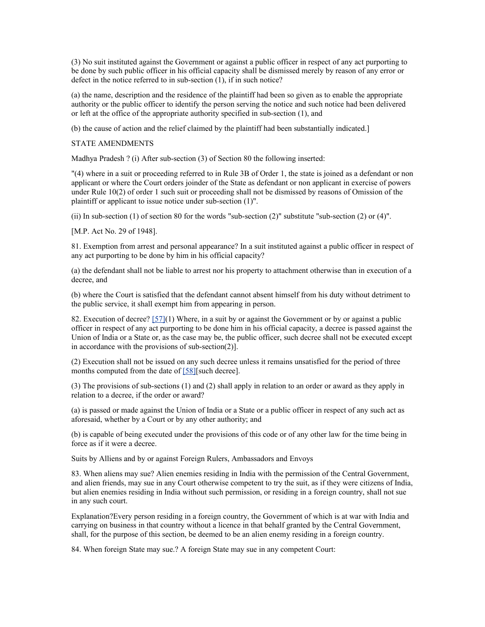(3) No suit instituted against the Government or against a public officer in respect of any act purporting to be done by such public officer in his official capacity shall be dismissed merely by reason of any error or defect in the notice referred to in sub-section (1), if in such notice?

(a) the name, description and the residence of the plaintiff had been so given as to enable the appropriate authority or the public officer to identify the person serving the notice and such notice had been delivered or left at the office of the appropriate authority specified in sub-section (1), and

(b) the cause of action and the relief claimed by the plaintiff had been substantially indicated.]

STATE AMENDMENTS

Madhya Pradesh ? (i) After sub-section (3) of Section 80 the following inserted:

"(4) where in a suit or proceeding referred to in Rule 3B of Order 1, the state is joined as a defendant or non applicant or where the Court orders joinder of the State as defendant or non applicant in exercise of powers under Rule 10(2) of order 1 such suit or proceeding shall not be dismissed by reasons of Omission of the plaintiff or applicant to issue notice under sub-section (1)".

(ii) In sub-section (1) of section 80 for the words "sub-section (2)" substitute "sub-section (2) or (4)".

[M.P. Act No. 29 of 1948].

81. Exemption from arrest and personal appearance? In a suit instituted against a public officer in respect of any act purporting to be done by him in his official capacity?

(a) the defendant shall not be liable to arrest nor his property to attachment otherwise than in execution of a decree, and

(b) where the Court is satisfied that the defendant cannot absent himself from his duty without detriment to the public service, it shall exempt him from appearing in person.

82. Execution of decree? [\[57\]\(](http://www.helplinelaw.com/bareact/bact.php?no=05&dsp=civil-proc-code#_edn57%23_edn57)1) Where, in a suit by or against the Government or by or against a public officer in respect of any act purporting to be done him in his official capacity, a decree is passed against the Union of India or a State or, as the case may be, the public officer, such decree shall not be executed except in accordance with the provisions of sub-section(2)].

(2) Execution shall not be issued on any such decree unless it remains unsatisfied for the period of three months computed from the date of [\[58\]\[](http://www.helplinelaw.com/bareact/bact.php?no=05&dsp=civil-proc-code#_edn58%23_edn58)such decree].

(3) The provisions of sub-sections (1) and (2) shall apply in relation to an order or award as they apply in relation to a decree, if the order or award?

(a) is passed or made against the Union of India or a State or a public officer in respect of any such act as aforesaid, whether by a Court or by any other authority; and

(b) is capable of being executed under the provisions of this code or of any other law for the time being in force as if it were a decree.

Suits by Alliens and by or against Foreign Rulers, Ambassadors and Envoys

83. When aliens may sue? Alien enemies residing in India with the permission of the Central Government, and alien friends, may sue in any Court otherwise competent to try the suit, as if they were citizens of India, but alien enemies residing in India without such permission, or residing in a foreign country, shall not sue in any such court.

Explanation?Every person residing in a foreign country, the Government of which is at war with India and carrying on business in that country without a licence in that behalf granted by the Central Government, shall, for the purpose of this section, be deemed to be an alien enemy residing in a foreign country.

84. When foreign State may sue.? A foreign State may sue in any competent Court: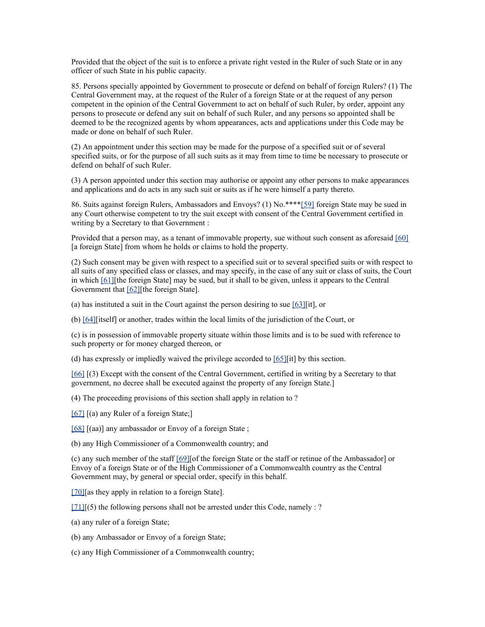Provided that the object of the suit is to enforce a private right vested in the Ruler of such State or in any officer of such State in his public capacity.

85. Persons specially appointed by Government to prosecute or defend on behalf of foreign Rulers? (1) The Central Government may, at the request of the Ruler of a foreign State or at the request of any person competent in the opinion of the Central Government to act on behalf of such Ruler, by order, appoint any persons to prosecute or defend any suit on behalf of such Ruler, and any persons so appointed shall be deemed to be the recognized agents by whom appearances, acts and applications under this Code may be made or done on behalf of such Ruler.

(2) An appointment under this section may be made for the purpose of a specified suit or of several specified suits, or for the purpose of all such suits as it may from time to time be necessary to prosecute or defend on behalf of such Ruler.

(3) A person appointed under this section may authorise or appoint any other persons to make appearances and applications and do acts in any such suit or suits as if he were himself a party thereto.

86. Suits against foreign Rulers, Ambassadors and Envoys? (1) No.\*\*\*[\\*\[59\]](http://www.helplinelaw.com/bareact/bact.php?no=05&dsp=civil-proc-code#_edn59%23_edn59) foreign State may be sued in any Court otherwise competent to try the suit except with consent of the Central Government certified in writing by a Secretary to that Government :

Provided that a person may, as a tenant of immovable property, sue without such consent as aforesaid [\[60\]](http://www.helplinelaw.com/bareact/bact.php?no=05&dsp=civil-proc-code#_edn60%23_edn60) [a foreign State] from whom he holds or claims to hold the property.

(2) Such consent may be given with respect to a specified suit or to several specified suits or with respect to all suits of any specified class or classes, and may specify, in the case of any suit or class of suits, the Court in which [\[61\]\[](http://www.helplinelaw.com/bareact/bact.php?no=05&dsp=civil-proc-code#_edn61%23_edn61)the foreign State] may be sued, but it shall to be given, unless it appears to the Central Government that [\[62\]\[](http://www.helplinelaw.com/bareact/bact.php?no=05&dsp=civil-proc-code#_edn62%23_edn62)the foreign State].

(a) has instituted a suit in the Court against the person desiring to sue  $[63]$ [it], or

(b) [\[64\]\[](http://www.helplinelaw.com/bareact/bact.php?no=05&dsp=civil-proc-code#_edn64%23_edn64)itself] or another, trades within the local limits of the jurisdiction of the Court, or

(c) is in possession of immovable property situate within those limits and is to be sued with reference to such property or for money charged thereon, or

(d) has expressly or impliedly waived the privilege accorded to  $[65]$ [it] by this section.

[\[66\]](http://www.helplinelaw.com/bareact/bact.php?no=05&dsp=civil-proc-code#_edn66%23_edn66) [(3) Except with the consent of the Central Government, certified in writing by a Secretary to that government, no decree shall be executed against the property of any foreign State.]

(4) The proceeding provisions of this section shall apply in relation to ?

[\[67\]](http://www.helplinelaw.com/bareact/bact.php?no=05&dsp=civil-proc-code#_edn67%23_edn67) [(a) any Ruler of a foreign State;]

[\[68\]](http://www.helplinelaw.com/bareact/bact.php?no=05&dsp=civil-proc-code#_edn68%23_edn68) [(aa)] any ambassador or Envoy of a foreign State;

(b) any High Commissioner of a Commonwealth country; and

(c) any such member of the staff [\[69\]\[](http://www.helplinelaw.com/bareact/bact.php?no=05&dsp=civil-proc-code#_edn69%23_edn69)of the foreign State or the staff or retinue of the Ambassador] or Envoy of a foreign State or of the High Commissioner of a Commonwealth country as the Central Government may, by general or special order, specify in this behalf.

[\[70\]\[](http://www.helplinelaw.com/bareact/bact.php?no=05&dsp=civil-proc-code#_edn70%23_edn70)as they apply in relation to a foreign State].

 $[71]$ [(5) the following persons shall not be arrested under this Code, namely : ?

(a) any ruler of a foreign State;

(b) any Ambassador or Envoy of a foreign State;

(c) any High Commissioner of a Commonwealth country;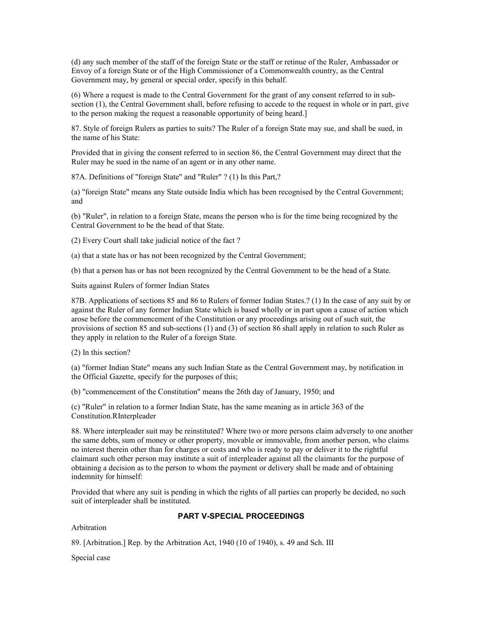(d) any such member of the staff of the foreign State or the staff or retinue of the Ruler, Ambassador or Envoy of a foreign State or of the High Commissioner of a Commonwealth country, as the Central Government may, by general or special order, specify in this behalf.

(6) Where a request is made to the Central Government for the grant of any consent referred to in subsection (1), the Central Government shall, before refusing to accede to the request in whole or in part, give to the person making the request a reasonable opportunity of being heard.]

87. Style of foreign Rulers as parties to suits? The Ruler of a foreign State may sue, and shall be sued, in the name of his State:

Provided that in giving the consent referred to in section 86, the Central Government may direct that the Ruler may be sued in the name of an agent or in any other name.

87A. Definitions of "foreign State" and "Ruler" ? (1) In this Part,?

(a) "foreign State" means any State outside India which has been recognised by the Central Government; and

(b) "Ruler", in relation to a foreign State, means the person who is for the time being recognized by the Central Government to be the head of that State.

(2) Every Court shall take judicial notice of the fact ?

(a) that a state has or has not been recognized by the Central Government;

(b) that a person has or has not been recognized by the Central Government to be the head of a State.

Suits against Rulers of former Indian States

87B. Applications of sections 85 and 86 to Rulers of former Indian States.? (1) In the case of any suit by or against the Ruler of any former Indian State which is based wholly or in part upon a cause of action which arose before the commencement of the Constitution or any proceedings arising out of such suit, the provisions of section 85 and sub-sections (1) and (3) of section 86 shall apply in relation to such Ruler as they apply in relation to the Ruler of a foreign State.

(2) In this section?

(a) "former Indian State" means any such Indian State as the Central Government may, by notification in the Official Gazette, specify for the purposes of this;

(b) "commencement of the Constitution" means the 26th day of January, 1950; and

(c) "Ruler" in relation to a former Indian State, has the same meaning as in article 363 of the Constitution.RInterpleader

88. Where interpleader suit may be reinstituted? Where two or more persons claim adversely to one another the same debts, sum of money or other property, movable or immovable, from another person, who claims no interest therein other than for charges or costs and who is ready to pay or deliver it to the rightful claimant such other person may institute a suit of interpleader against all the claimants for the purpose of obtaining a decision as to the person to whom the payment or delivery shall be made and of obtaining indemnity for himself:

Provided that where any suit is pending in which the rights of all parties can properly be decided, no such suit of interpleader shall be instituted.

# **PART V-SPECIAL PROCEEDINGS**

Arbitration

89. [Arbitration.] Rep. by the Arbitration Act, 1940 (10 of 1940), s. 49 and Sch. III

Special case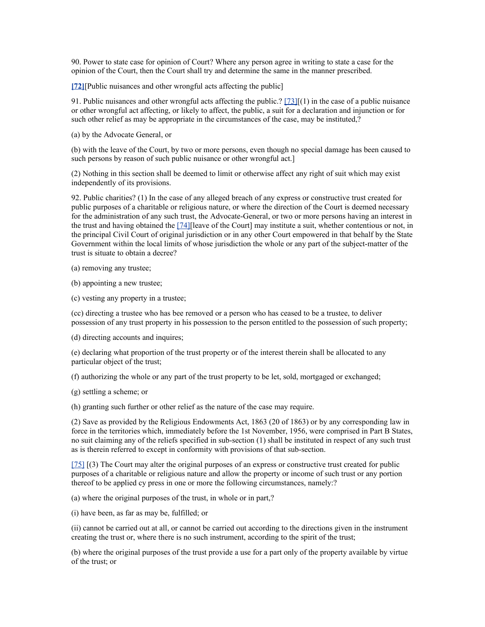90. Power to state case for opinion of Court? Where any person agree in writing to state a case for the opinion of the Court, then the Court shall try and determine the same in the manner prescribed.

**[\[72\]](http://www.helplinelaw.com/bareact/bact.php?no=06&dsp=civil-proc-code#_edn72%23_edn72)**[Public nuisances and other wrongful acts affecting the public]

91. Public nuisances and other wrongful acts affecting the public.?  $[73][(1)$  in the case of a public nuisance or other wrongful act affecting, or likely to affect, the public, a suit for a declaration and injunction or for such other relief as may be appropriate in the circumstances of the case, may be instituted,?

(a) by the Advocate General, or

(b) with the leave of the Court, by two or more persons, even though no special damage has been caused to such persons by reason of such public nuisance or other wrongful act.]

(2) Nothing in this section shall be deemed to limit or otherwise affect any right of suit which may exist independently of its provisions.

92. Public charities? (1) In the case of any alleged breach of any express or constructive trust created for public purposes of a charitable or religious nature, or where the direction of the Court is deemed necessary for the administration of any such trust, the Advocate-General, or two or more persons having an interest in the trust and having obtained the [\[74\]\[](http://www.helplinelaw.com/bareact/bact.php?no=06&dsp=civil-proc-code#_edn74%23_edn74)leave of the Court] may institute a suit, whether contentious or not, in the principal Civil Court of original jurisdiction or in any other Court empowered in that behalf by the State Government within the local limits of whose jurisdiction the whole or any part of the subject-matter of the trust is situate to obtain a decree?

(a) removing any trustee;

(b) appointing a new trustee;

(c) vesting any property in a trustee;

(cc) directing a trustee who has bee removed or a person who has ceased to be a trustee, to deliver possession of any trust property in his possession to the person entitled to the possession of such property;

(d) directing accounts and inquires;

(e) declaring what proportion of the trust property or of the interest therein shall be allocated to any particular object of the trust;

(f) authorizing the whole or any part of the trust property to be let, sold, mortgaged or exchanged;

(g) settling a scheme; or

(h) granting such further or other relief as the nature of the case may require.

(2) Save as provided by the Religious Endowments Act, 1863 (20 of 1863) or by any corresponding law in force in the territories which, immediately before the 1st November, 1956, were comprised in Part B States, no suit claiming any of the reliefs specified in sub-section (1) shall be instituted in respect of any such trust as is therein referred to except in conformity with provisions of that sub-section.

[\[75\]](http://www.helplinelaw.com/bareact/bact.php?no=06&dsp=civil-proc-code#_edn75%23_edn75) [(3) The Court may alter the original purposes of an express or constructive trust created for public purposes of a charitable or religious nature and allow the property or income of such trust or any portion thereof to be applied cy press in one or more the following circumstances, namely:?

(a) where the original purposes of the trust, in whole or in part,?

(i) have been, as far as may be, fulfilled; or

(ii) cannot be carried out at all, or cannot be carried out according to the directions given in the instrument creating the trust or, where there is no such instrument, according to the spirit of the trust;

(b) where the original purposes of the trust provide a use for a part only of the property available by virtue of the trust; or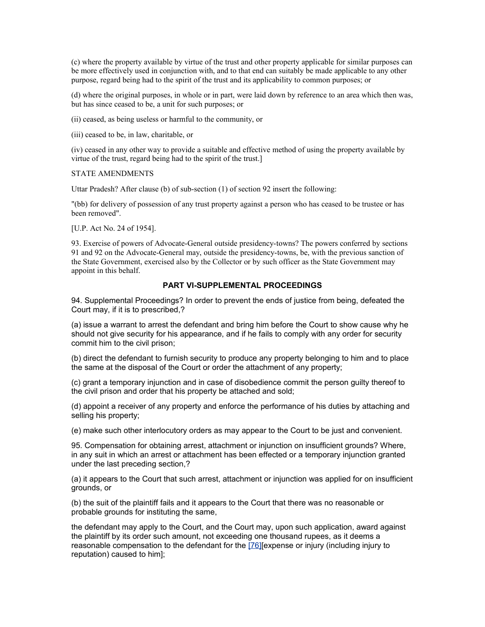(c) where the property available by virtue of the trust and other property applicable for similar purposes can be more effectively used in conjunction with, and to that end can suitably be made applicable to any other purpose, regard being had to the spirit of the trust and its applicability to common purposes; or

(d) where the original purposes, in whole or in part, were laid down by reference to an area which then was, but has since ceased to be, a unit for such purposes; or

(ii) ceased, as being useless or harmful to the community, or

(iii) ceased to be, in law, charitable, or

(iv) ceased in any other way to provide a suitable and effective method of using the property available by virtue of the trust, regard being had to the spirit of the trust.]

STATE AMENDMENTS

Uttar Pradesh? After clause (b) of sub-section (1) of section 92 insert the following:

"(bb) for delivery of possession of any trust property against a person who has ceased to be trustee or has been removed".

[U.P. Act No. 24 of 1954].

93. Exercise of powers of Advocate-General outside presidency-towns? The powers conferred by sections 91 and 92 on the Advocate-General may, outside the presidency-towns, be, with the previous sanction of the State Government, exercised also by the Collector or by such officer as the State Government may appoint in this behalf.

# **PART VI-SUPPLEMENTAL PROCEEDINGS**

94. Supplemental Proceedings? In order to prevent the ends of justice from being, defeated the Court may, if it is to prescribed,?

(a) issue a warrant to arrest the defendant and bring him before the Court to show cause why he should not give security for his appearance, and if he fails to comply with any order for security commit him to the civil prison;

(b) direct the defendant to furnish security to produce any property belonging to him and to place the same at the disposal of the Court or order the attachment of any property;

(c) grant a temporary injunction and in case of disobedience commit the person guilty thereof to the civil prison and order that his property be attached and sold;

(d) appoint a receiver of any property and enforce the performance of his duties by attaching and selling his property;

(e) make such other interlocutory orders as may appear to the Court to be just and convenient.

95. Compensation for obtaining arrest, attachment or injunction on insufficient grounds? Where, in any suit in which an arrest or attachment has been effected or a temporary injunction granted under the last preceding section,?

(a) it appears to the Court that such arrest, attachment or injunction was applied for on insufficient grounds, or

(b) the suit of the plaintiff fails and it appears to the Court that there was no reasonable or probable grounds for instituting the same,

the defendant may apply to the Court, and the Court may, upon such application, award against the plaintiff by its order such amount, not exceeding one thousand rupees, as it deems a reasonable compensation to the defendant for the [\[76\]\[](http://www.helplinelaw.com/bareact/bact.php?no=07&dsp=civil-proc-code#_edn76%23_edn76)expense or injury (including injury to reputation) caused to him];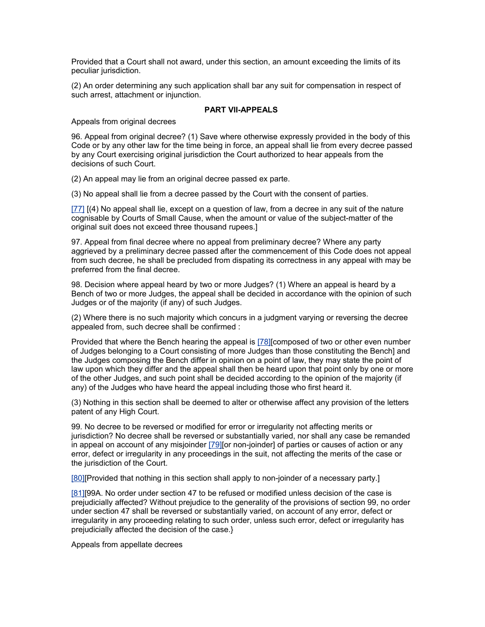Provided that a Court shall not award, under this section, an amount exceeding the limits of its peculiar jurisdiction.

(2) An order determining any such application shall bar any suit for compensation in respect of such arrest, attachment or injunction.

### **PART VII-APPEALS**

Appeals from original decrees

96. Appeal from original decree? (1) Save where otherwise expressly provided in the body of this Code or by any other law for the time being in force, an appeal shall lie from every decree passed by any Court exercising original jurisdiction the Court authorized to hear appeals from the decisions of such Court.

(2) An appeal may lie from an original decree passed ex parte.

(3) No appeal shall lie from a decree passed by the Court with the consent of parties.

[\[77\]](http://www.helplinelaw.com/bareact/bact.php?no=08&dsp=civil-proc-code#_edn77%23_edn77) [(4) No appeal shall lie, except on a question of law, from a decree in any suit of the nature cognisable by Courts of Small Cause, when the amount or value of the subject-matter of the original suit does not exceed three thousand rupees.]

97. Appeal from final decree where no appeal from preliminary decree? Where any party aggrieved by a preliminary decree passed after the commencement of this Code does not appeal from such decree, he shall be precluded from dispating its correctness in any appeal with may be preferred from the final decree.

98. Decision where appeal heard by two or more Judges? (1) Where an appeal is heard by a Bench of two or more Judges, the appeal shall be decided in accordance with the opinion of such Judges or of the majority (if any) of such Judges.

(2) Where there is no such majority which concurs in a judgment varying or reversing the decree appealed from, such decree shall be confirmed :

Provided that where the Bench hearing the appeal is [\[78\]\[](http://www.helplinelaw.com/bareact/bact.php?no=08&dsp=civil-proc-code#_edn78%23_edn78)composed of two or other even number of Judges belonging to a Court consisting of more Judges than those constituting the Bench] and the Judges composing the Bench differ in opinion on a point of law, they may state the point of law upon which they differ and the appeal shall then be heard upon that point only by one or more of the other Judges, and such point shall be decided according to the opinion of the majority (if any) of the Judges who have heard the appeal including those who first heard it.

(3) Nothing in this section shall be deemed to alter or otherwise affect any provision of the letters patent of any High Court.

99. No decree to be reversed or modified for error or irregularity not affecting merits or jurisdiction? No decree shall be reversed or substantially varied, nor shall any case be remanded in appeal on account of any misjoinder [\[79\]\[](http://www.helplinelaw.com/bareact/bact.php?no=08&dsp=civil-proc-code#_edn79%23_edn79)or non-joinder] of parties or causes of action or any error, defect or irregularity in any proceedings in the suit, not affecting the merits of the case or the jurisdiction of the Court.

[\[80\]\[](http://www.helplinelaw.com/bareact/bact.php?no=08&dsp=civil-proc-code#_edn80%23_edn80)Provided that nothing in this section shall apply to non-joinder of a necessary party.]

[\[81\]\[](http://www.helplinelaw.com/bareact/bact.php?no=08&dsp=civil-proc-code#_edn81%23_edn81)99A. No order under section 47 to be refused or modified unless decision of the case is prejudicially affected? Without prejudice to the generality of the provisions of section 99, no order under section 47 shall be reversed or substantially varied, on account of any error, defect or irregularity in any proceeding relating to such order, unless such error, defect or irregularity has prejudicially affected the decision of the case.}

Appeals from appellate decrees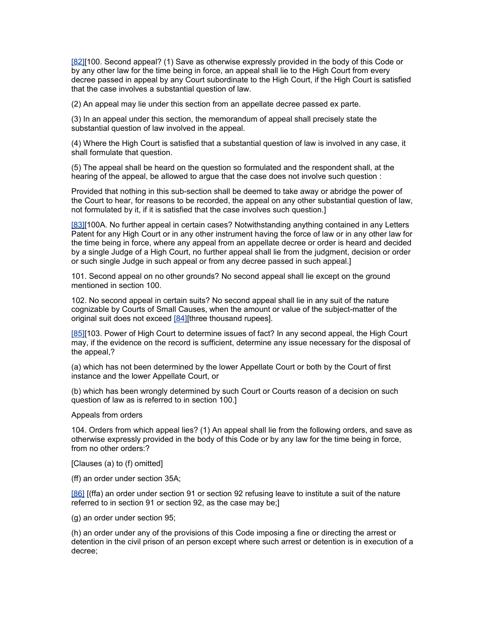[\[82\]\[](http://www.helplinelaw.com/bareact/bact.php?no=08&dsp=civil-proc-code#_edn82%23_edn82)100. Second appeal? (1) Save as otherwise expressly provided in the body of this Code or by any other law for the time being in force, an appeal shall lie to the High Court from every decree passed in appeal by any Court subordinate to the High Court, if the High Court is satisfied that the case involves a substantial question of law.

(2) An appeal may lie under this section from an appellate decree passed ex parte.

(3) In an appeal under this section, the memorandum of appeal shall precisely state the substantial question of law involved in the appeal.

(4) Where the High Court is satisfied that a substantial question of law is involved in any case, it shall formulate that question.

(5) The appeal shall be heard on the question so formulated and the respondent shall, at the hearing of the appeal, be allowed to argue that the case does not involve such question :

Provided that nothing in this sub-section shall be deemed to take away or abridge the power of the Court to hear, for reasons to be recorded, the appeal on any other substantial question of law, not formulated by it, if it is satisfied that the case involves such question.]

[\[83\]\[](http://www.helplinelaw.com/bareact/bact.php?no=08&dsp=civil-proc-code#_edn83%23_edn83)100A. No further appeal in certain cases? Notwithstanding anything contained in any Letters Patent for any High Court or in any other instrument having the force of law or in any other law for the time being in force, where any appeal from an appellate decree or order is heard and decided by a single Judge of a High Court, no further appeal shall lie from the judgment, decision or order or such single Judge in such appeal or from any decree passed in such appeal.]

101. Second appeal on no other grounds? No second appeal shall lie except on the ground mentioned in section 100.

102. No second appeal in certain suits? No second appeal shall lie in any suit of the nature cognizable by Courts of Small Causes, when the amount or value of the subject-matter of the original suit does not exceed [\[84\]\[](http://www.helplinelaw.com/bareact/bact.php?no=08&dsp=civil-proc-code#_edn84%23_edn84)three thousand rupees].

[\[85\]\[](http://www.helplinelaw.com/bareact/bact.php?no=08&dsp=civil-proc-code#_edn85%23_edn85)103. Power of High Court to determine issues of fact? In any second appeal, the High Court may, if the evidence on the record is sufficient, determine any issue necessary for the disposal of the appeal,?

(a) which has not been determined by the lower Appellate Court or both by the Court of first instance and the lower Appellate Court, or

(b) which has been wrongly determined by such Court or Courts reason of a decision on such question of law as is referred to in section 100.]

Appeals from orders

104. Orders from which appeal lies? (1) An appeal shall lie from the following orders, and save as otherwise expressly provided in the body of this Code or by any law for the time being in force, from no other orders:?

[Clauses (a) to (f) omitted]

(ff) an order under section 35A;

[\[86\]](http://www.helplinelaw.com/bareact/bact.php?no=08&dsp=civil-proc-code#_edn86%23_edn86) [(ffa) an order under section 91 or section 92 refusing leave to institute a suit of the nature referred to in section 91 or section 92, as the case may be;]

(g) an order under section 95;

(h) an order under any of the provisions of this Code imposing a fine or directing the arrest or detention in the civil prison of an person except where such arrest or detention is in execution of a decree;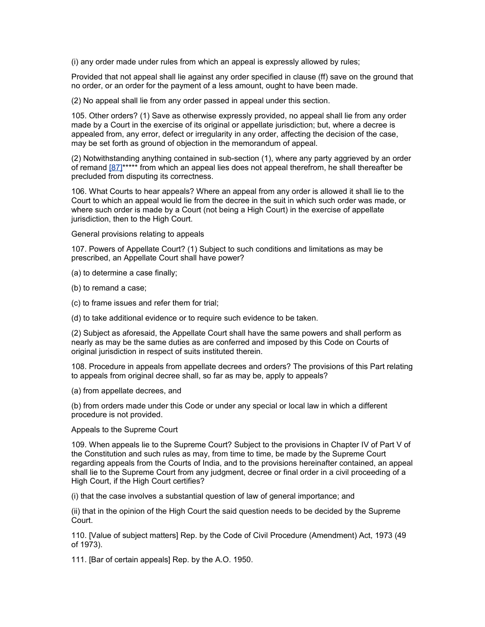(i) any order made under rules from which an appeal is expressly allowed by rules;

Provided that not appeal shall lie against any order specified in clause (ff) save on the ground that no order, or an order for the payment of a less amount, ought to have been made.

(2) No appeal shall lie from any order passed in appeal under this section.

105. Other orders? (1) Save as otherwise expressly provided, no appeal shall lie from any order made by a Court in the exercise of its original or appellate jurisdiction; but, where a decree is appealed from, any error, defect or irregularity in any order, affecting the decision of the case, may be set forth as ground of objection in the memorandum of appeal.

(2) Notwithstanding anything contained in sub-section (1), where any party aggrieved by an order of remand  $[87]$ \*\*\*\*\* from which an appeal lies does not appeal therefrom, he shall thereafter be precluded from disputing its correctness.

106. What Courts to hear appeals? Where an appeal from any order is allowed it shall lie to the Court to which an appeal would lie from the decree in the suit in which such order was made, or where such order is made by a Court (not being a High Court) in the exercise of appellate jurisdiction, then to the High Court.

General provisions relating to appeals

107. Powers of Appellate Court? (1) Subject to such conditions and limitations as may be prescribed, an Appellate Court shall have power?

(a) to determine a case finally;

- (b) to remand a case;
- (c) to frame issues and refer them for trial;
- (d) to take additional evidence or to require such evidence to be taken.

(2) Subject as aforesaid, the Appellate Court shall have the same powers and shall perform as nearly as may be the same duties as are conferred and imposed by this Code on Courts of original jurisdiction in respect of suits instituted therein.

108. Procedure in appeals from appellate decrees and orders? The provisions of this Part relating to appeals from original decree shall, so far as may be, apply to appeals?

(a) from appellate decrees, and

(b) from orders made under this Code or under any special or local law in which a different procedure is not provided.

Appeals to the Supreme Court

109. When appeals lie to the Supreme Court? Subject to the provisions in Chapter IV of Part V of the Constitution and such rules as may, from time to time, be made by the Supreme Court regarding appeals from the Courts of India, and to the provisions hereinafter contained, an appeal shall lie to the Supreme Court from any judgment, decree or final order in a civil proceeding of a High Court, if the High Court certifies?

(i) that the case involves a substantial question of law of general importance; and

(ii) that in the opinion of the High Court the said question needs to be decided by the Supreme Court.

110. [Value of subject matters] Rep. by the Code of Civil Procedure (Amendment) Act, 1973 (49 of 1973).

111. [Bar of certain appeals] Rep. by the A.O. 1950.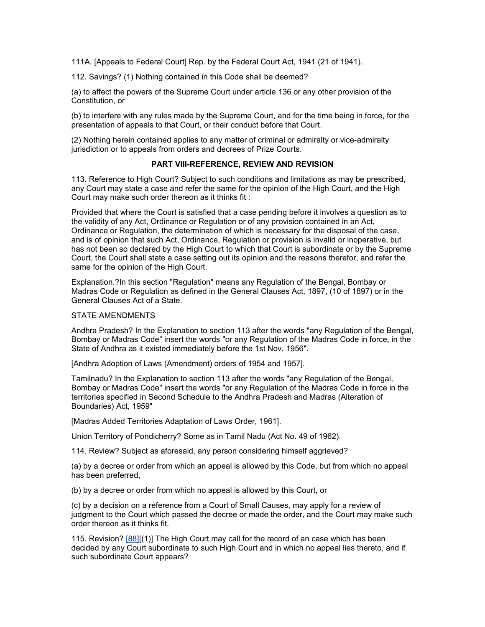111A. [Appeals to Federal Court] Rep. by the Federal Court Act, 1941 (21 of 1941).

112. Savings? (1) Nothing contained in this Code shall be deemed?

(a) to affect the powers of the Supreme Court under article 136 or any other provision of the Constitution, or

(b) to interfere with any rules made by the Supreme Court, and for the time being in force, for the presentation of appeals to that Court, or their conduct before that Court.

(2) Nothing herein contained applies to any matter of criminal or admiralty or vice-admiralty jurisdiction or to appeals from orders and decrees of Prize Courts.

### **PART VIII-REFERENCE, REVIEW AND REVISION**

113. Reference to High Court? Subject to such conditions and limitations as may be prescribed, any Court may state a case and refer the same for the opinion of the High Court, and the High Court may make such order thereon as it thinks fit :

Provided that where the Court is satisfied that a case pending before it involves a question as to the validity of any Act, Ordinance or Regulation or of any provision contained in an Act, Ordinance or Regulation, the determination of which is necessary for the disposal of the case, and is of opinion that such Act, Ordinance, Regulation or provision is invalid or inoperative, but has not been so declared by the High Court to which that Court is subordinate or by the Supreme Court, the Court shall state a case setting out its opinion and the reasons therefor, and refer the same for the opinion of the High Court.

Explanation.?In this section "Regulation" means any Regulation of the Bengal, Bombay or Madras Code or Regulation as defined in the General Clauses Act, 1897, (10 of 1897) or in the General Clauses Act of a State.

# STATE AMENDMENTS

Andhra Pradesh? In the Explanation to section 113 after the words "any Regulation of the Bengal, Bombay or Madras Code" insert the words "or any Regulation of the Madras Code in force, in the State of Andhra as it existed immediately before the 1st Nov. 1956".

[Andhra Adoption of Laws (Amendment) orders of 1954 and 1957].

Tamilnadu? In the Explanation to section 113 after the words "any Regulation of the Bengal, Bombay or Madras Code" insert the words "or any Regulation of the Madras Code in force in the territories specified in Second Schedule to the Andhra Pradesh and Madras (Alteration of Boundaries) Act, 1959"

[Madras Added Territories Adaptation of Laws Order, 1961].

Union Territory of Pondicherry? Some as in Tamil Nadu (Act No. 49 of 1962).

114. Review? Subject as aforesaid, any person considering himself aggrieved?

(a) by a decree or order from which an appeal is allowed by this Code, but from which no appeal has been preferred,

(b) by a decree or order from which no appeal is allowed by this Court, or

(c) by a decision on a reference from a Court of Small Causes, may apply for a review of judgment to the Court which passed the decree or made the order, and the Court may make such order thereon as it thinks fit.

115. Revision? [\[88\]\[](http://www.helplinelaw.com/bareact/bact.php?no=09&dsp=civil-proc-code#_edn88%23_edn88)(1)] The High Court may call for the record of an case which has been decided by any Court subordinate to such High Court and in which no appeal lies thereto, and if such subordinate Court appears?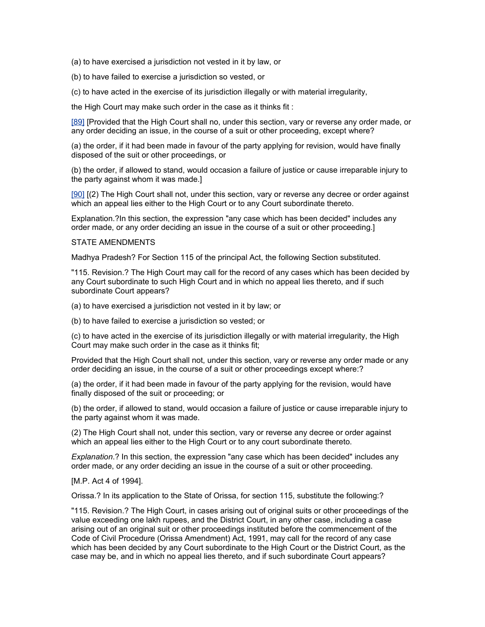(a) to have exercised a jurisdiction not vested in it by law, or

(b) to have failed to exercise a jurisdiction so vested, or

(c) to have acted in the exercise of its jurisdiction illegally or with material irregularity,

the High Court may make such order in the case as it thinks fit :

[\[89\]](http://www.helplinelaw.com/bareact/bact.php?no=09&dsp=civil-proc-code#_edn89%23_edn89) [Provided that the High Court shall no, under this section, vary or reverse any order made, or any order deciding an issue, in the course of a suit or other proceeding, except where?

(a) the order, if it had been made in favour of the party applying for revision, would have finally disposed of the suit or other proceedings, or

(b) the order, if allowed to stand, would occasion a failure of justice or cause irreparable injury to the party against whom it was made.]

[\[90\]](http://www.helplinelaw.com/bareact/bact.php?no=09&dsp=civil-proc-code#_edn90%23_edn90) [(2) The High Court shall not, under this section, vary or reverse any decree or order against which an appeal lies either to the High Court or to any Court subordinate thereto.

Explanation.?In this section, the expression "any case which has been decided" includes any order made, or any order deciding an issue in the course of a suit or other proceeding.]

### STATE AMENDMENTS

Madhya Pradesh? For Section 115 of the principal Act, the following Section substituted.

"115. Revision.? The High Court may call for the record of any cases which has been decided by any Court subordinate to such High Court and in which no appeal lies thereto, and if such subordinate Court appears?

(a) to have exercised a jurisdiction not vested in it by law; or

(b) to have failed to exercise a jurisdiction so vested; or

(c) to have acted in the exercise of its jurisdiction illegally or with material irregularity, the High Court may make such order in the case as it thinks fit;

Provided that the High Court shall not, under this section, vary or reverse any order made or any order deciding an issue, in the course of a suit or other proceedings except where:?

(a) the order, if it had been made in favour of the party applying for the revision, would have finally disposed of the suit or proceeding; or

(b) the order, if allowed to stand, would occasion a failure of justice or cause irreparable injury to the party against whom it was made.

(2) The High Court shall not, under this section, vary or reverse any decree or order against which an appeal lies either to the High Court or to any court subordinate thereto.

*Explanation*.? In this section, the expression "any case which has been decided" includes any order made, or any order deciding an issue in the course of a suit or other proceeding.

[M.P. Act 4 of 1994].

Orissa.? In its application to the State of Orissa, for section 115, substitute the following:?

"115. Revision.? The High Court, in cases arising out of original suits or other proceedings of the value exceeding one lakh rupees, and the District Court, in any other case, including a case arising out of an original suit or other proceedings instituted before the commencement of the Code of Civil Procedure (Orissa Amendment) Act, 1991, may call for the record of any case which has been decided by any Court subordinate to the High Court or the District Court, as the case may be, and in which no appeal lies thereto, and if such subordinate Court appears?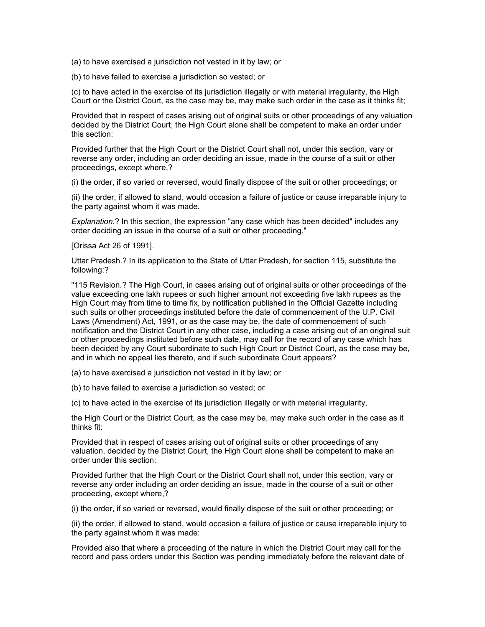(a) to have exercised a jurisdiction not vested in it by law; or

(b) to have failed to exercise a jurisdiction so vested; or

(c) to have acted in the exercise of its jurisdiction illegally or with material irregularity, the High Court or the District Court, as the case may be, may make such order in the case as it thinks fit;

Provided that in respect of cases arising out of original suits or other proceedings of any valuation decided by the District Court, the High Court alone shall be competent to make an order under this section:

Provided further that the High Court or the District Court shall not, under this section, vary or reverse any order, including an order deciding an issue, made in the course of a suit or other proceedings, except where,?

(i) the order, if so varied or reversed, would finally dispose of the suit or other proceedings; or

(ii) the order, if allowed to stand, would occasion a failure of justice or cause irreparable injury to the party against whom it was made.

*Explanation*.? In this section, the expression "any case which has been decided" includes any order deciding an issue in the course of a suit or other proceeding."

[Orissa Act 26 of 1991].

Uttar Pradesh.? In its application to the State of Uttar Pradesh, for section 115, substitute the following:?

"115 Revision.? The High Court, in cases arising out of original suits or other proceedings of the value exceeding one lakh rupees or such higher amount not exceeding five lakh rupees as the High Court may from time to time fix, by notification published in the Official Gazette including such suits or other proceedings instituted before the date of commencement of the U.P. Civil Laws (Amendment) Act, 1991, or as the case may be, the date of commencement of such notification and the District Court in any other case, including a case arising out of an original suit or other proceedings instituted before such date, may call for the record of any case which has been decided by any Court subordinate to such High Court or District Court, as the case may be, and in which no appeal lies thereto, and if such subordinate Court appears?

(a) to have exercised a jurisdiction not vested in it by law; or

(b) to have failed to exercise a jurisdiction so vested; or

(c) to have acted in the exercise of its jurisdiction illegally or with material irregularity,

the High Court or the District Court, as the case may be, may make such order in the case as it thinks fit:

Provided that in respect of cases arising out of original suits or other proceedings of any valuation, decided by the District Court, the High Court alone shall be competent to make an order under this section:

Provided further that the High Court or the District Court shall not, under this section, vary or reverse any order including an order deciding an issue, made in the course of a suit or other proceeding, except where,?

(i) the order, if so varied or reversed, would finally dispose of the suit or other proceeding; or

(ii) the order, if allowed to stand, would occasion a failure of justice or cause irreparable injury to the party against whom it was made:

Provided also that where a proceeding of the nature in which the District Court may call for the record and pass orders under this Section was pending immediately before the relevant date of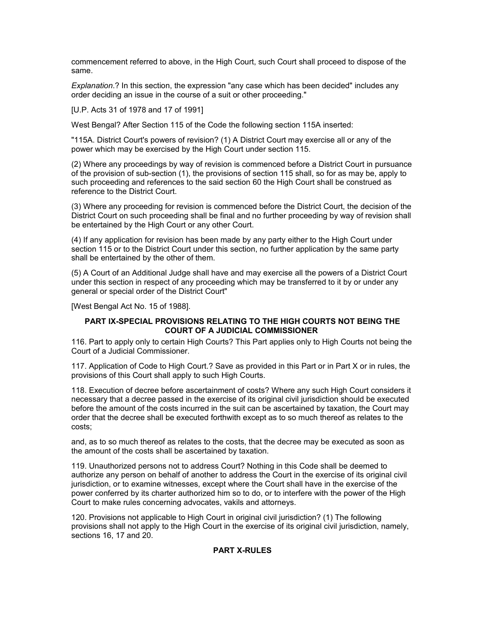commencement referred to above, in the High Court, such Court shall proceed to dispose of the same.

*Explanation*.? In this section, the expression "any case which has been decided" includes any order deciding an issue in the course of a suit or other proceeding."

[U.P. Acts 31 of 1978 and 17 of 1991]

West Bengal? After Section 115 of the Code the following section 115A inserted:

"115A. District Court's powers of revision? (1) A District Court may exercise all or any of the power which may be exercised by the High Court under section 115.

(2) Where any proceedings by way of revision is commenced before a District Court in pursuance of the provision of sub-section (1), the provisions of section 115 shall, so for as may be, apply to such proceeding and references to the said section 60 the High Court shall be construed as reference to the District Court.

(3) Where any proceeding for revision is commenced before the District Court, the decision of the District Court on such proceeding shall be final and no further proceeding by way of revision shall be entertained by the High Court or any other Court.

(4) If any application for revision has been made by any party either to the High Court under section 115 or to the District Court under this section, no further application by the same party shall be entertained by the other of them.

(5) A Court of an Additional Judge shall have and may exercise all the powers of a District Court under this section in respect of any proceeding which may be transferred to it by or under any general or special order of the District Court"

[West Bengal Act No. 15 of 1988].

# **PART IX-SPECIAL PROVISIONS RELATING TO THE HIGH COURTS NOT BEING THE COURT OF A JUDICIAL COMMISSIONER**

116. Part to apply only to certain High Courts? This Part applies only to High Courts not being the Court of a Judicial Commissioner.

117. Application of Code to High Court.? Save as provided in this Part or in Part X or in rules, the provisions of this Court shall apply to such High Courts.

118. Execution of decree before ascertainment of costs? Where any such High Court considers it necessary that a decree passed in the exercise of its original civil jurisdiction should be executed before the amount of the costs incurred in the suit can be ascertained by taxation, the Court may order that the decree shall be executed forthwith except as to so much thereof as relates to the costs;

and, as to so much thereof as relates to the costs, that the decree may be executed as soon as the amount of the costs shall be ascertained by taxation.

119. Unauthorized persons not to address Court? Nothing in this Code shall be deemed to authorize any person on behalf of another to address the Court in the exercise of its original civil jurisdiction, or to examine witnesses, except where the Court shall have in the exercise of the power conferred by its charter authorized him so to do, or to interfere with the power of the High Court to make rules concerning advocates, vakils and attorneys.

120. Provisions not applicable to High Court in original civil jurisdiction? (1) The following provisions shall not apply to the High Court in the exercise of its original civil jurisdiction, namely, sections 16, 17 and 20.

# **PART X-RULES**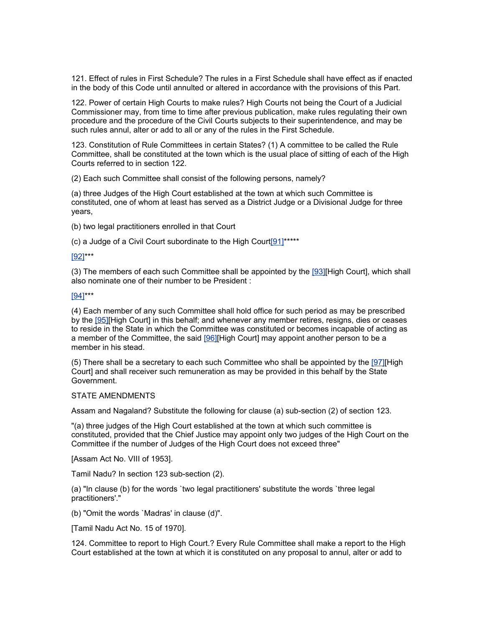121. Effect of rules in First Schedule? The rules in a First Schedule shall have effect as if enacted in the body of this Code until annulted or altered in accordance with the provisions of this Part.

122. Power of certain High Courts to make rules? High Courts not being the Court of a Judicial Commissioner may, from time to time after previous publication, make rules regulating their own procedure and the procedure of the Civil Courts subjects to their superintendence, and may be such rules annul, alter or add to all or any of the rules in the First Schedule.

123. Constitution of Rule Committees in certain States? (1) A committee to be called the Rule Committee, shall be constituted at the town which is the usual place of sitting of each of the High Courts referred to in section 122.

(2) Each such Committee shall consist of the following persons, namely?

(a) three Judges of the High Court established at the town at which such Committee is constituted, one of whom at least has served as a District Judge or a Divisional Judge for three years,

(b) two legal practitioners enrolled in that Court

(c) a Judge of a Civil Court subordinate to the High Cour[t\[91\]\\*](http://www.helplinelaw.com/bareact/bact.php?no=11&dsp=civil-proc-code#_edn91%23_edn91)\*\*\*\*

#### [\[92\]\\*](http://www.helplinelaw.com/bareact/bact.php?no=11&dsp=civil-proc-code#_edn92%23_edn92)\*\*

(3) The members of each such Committee shall be appointed by the [\[93\]\[](http://www.helplinelaw.com/bareact/bact.php?no=11&dsp=civil-proc-code#_edn93%23_edn93)High Court], which shall also nominate one of their number to be President :

#### [\[94\]\\*](http://www.helplinelaw.com/bareact/bact.php?no=11&dsp=civil-proc-code#_edn94%23_edn94)\*\*

(4) Each member of any such Committee shall hold office for such period as may be prescribed by the [\[95\]\[](http://www.helplinelaw.com/bareact/bact.php?no=11&dsp=civil-proc-code#_edn95%23_edn95)High Court] in this behalf; and whenever any member retires, resigns, dies or ceases to reside in the State in which the Committee was constituted or becomes incapable of acting as a member of the Committee, the said [\[96\]\[](http://www.helplinelaw.com/bareact/bact.php?no=11&dsp=civil-proc-code#_edn96%23_edn96)High Court] may appoint another person to be a member in his stead.

(5) There shall be a secretary to each such Committee who shall be appointed by the [\[97\]\[](http://www.helplinelaw.com/bareact/bact.php?no=11&dsp=civil-proc-code#_edn97%23_edn97)High Court] and shall receiver such remuneration as may be provided in this behalf by the State Government.

### STATE AMENDMENTS

Assam and Nagaland? Substitute the following for clause (a) sub-section (2) of section 123.

"(a) three judges of the High Court established at the town at which such committee is constituted, provided that the Chief Justice may appoint only two judges of the High Court on the Committee if the number of Judges of the High Court does not exceed three"

[Assam Act No. VIII of 1953].

Tamil Nadu? In section 123 sub-section (2).

(a) "In clause (b) for the words `two legal practitioners' substitute the words `three legal practitioners'."

(b) "Omit the words `Madras' in clause (d)".

[Tamil Nadu Act No. 15 of 1970].

124. Committee to report to High Court.? Every Rule Committee shall make a report to the High Court established at the town at which it is constituted on any proposal to annul, alter or add to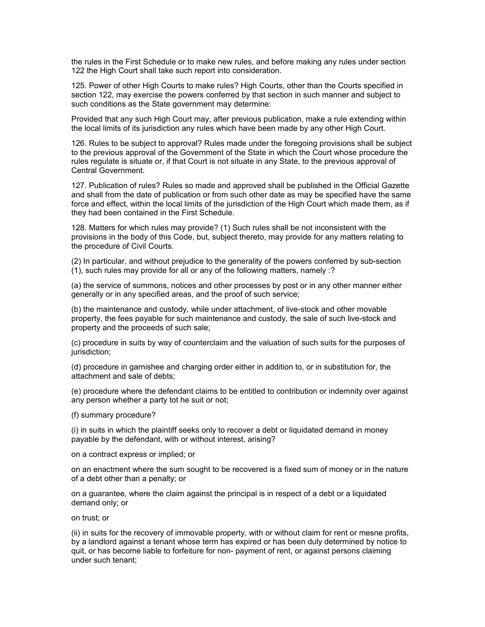the rules in the First Schedule or to make new rules, and before making any rules under section 122 the High Court shall take such report into consideration.

125. Power of other High Courts to make rules? High Courts, other than the Courts specified in section 122, may exercise the powers conferred by that section in such manner and subject to such conditions as the State government may determine:

Provided that any such High Court may, after previous publication, make a rule extending within the local limits of its jurisdiction any rules which have been made by any other High Court.

126. Rules to be subject to approval? Rules made under the foregoing provisions shall be subject to the previous approval of the Government of the State in which the Court whose procedure the rules regulate is situate or, if that Court is not situate in any State, to the previous approval of Central Government.

127. Publication of rules? Rules so made and approved shall be published in the Official Gazette and shall from the date of publication or from such other date as may be specified have the same force and effect, within the local limits of the jurisdiction of the High Court which made them, as if they had been contained in the First Schedule.

128. Matters for which rules may provide? (1) Such rules shall be not inconsistent with the provisions in the body of this Code, but, subject thereto, may provide for any matters relating to the procedure of Civil Courts.

(2) In particular, and without prejudice to the generality of the powers conferred by sub-section (1), such rules may provide for all or any of the following matters, namely :?

(a) the service of summons, notices and other processes by post or in any other manner either generally or in any specified areas, and the proof of such service;

(b) the maintenance and custody, while under attachment, of live-stock and other movable property, the fees payable for such maintenance and custody, the sale of such live-stock and property and the proceeds of such sale;

(c) procedure in suits by way of counterclaim and the valuation of such suits for the purposes of jurisdiction;

(d) procedure in garnishee and charging order either in addition to, or in substitution for, the attachment and sale of debts;

(e) procedure where the defendant claims to be entitled to contribution or indemnity over against any person whether a party tot he suit or not;

(f) summary procedure?

(i) in suits in which the plaintiff seeks only to recover a debt or liquidated demand in money payable by the defendant, with or without interest, arising?

on a contract express or implied; or

on an enactment where the sum sought to be recovered is a fixed sum of money or in the nature of a debt other than a penalty; or

on a guarantee, where the claim against the principal is in respect of a debt or a liquidated demand only; or

on trust; or

(ii) in suits for the recovery of immovable property, with or without claim for rent or mesne profits, by a landlord against a tenant whose term has expired or has been duly determined by notice to quit, or has become liable to forfeiture for non- payment of rent, or against persons claiming under such tenant;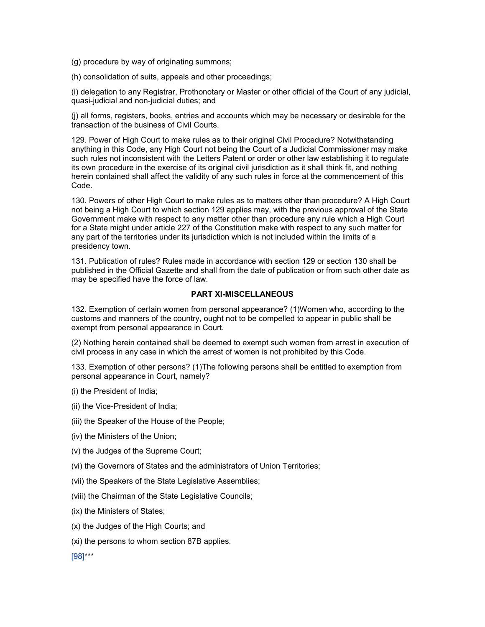- (g) procedure by way of originating summons;
- (h) consolidation of suits, appeals and other proceedings;

(i) delegation to any Registrar, Prothonotary or Master or other official of the Court of any judicial, quasi-judicial and non-judicial duties; and

(j) all forms, registers, books, entries and accounts which may be necessary or desirable for the transaction of the business of Civil Courts.

129. Power of High Court to make rules as to their original Civil Procedure? Notwithstanding anything in this Code, any High Court not being the Court of a Judicial Commissioner may make such rules not inconsistent with the Letters Patent or order or other law establishing it to regulate its own procedure in the exercise of its original civil jurisdiction as it shall think fit, and nothing herein contained shall affect the validity of any such rules in force at the commencement of this Code.

130. Powers of other High Court to make rules as to matters other than procedure? A High Court not being a High Court to which section 129 applies may, with the previous approval of the State Government make with respect to any matter other than procedure any rule which a High Court for a State might under article 227 of the Constitution make with respect to any such matter for any part of the territories under its jurisdiction which is not included within the limits of a presidency town.

131. Publication of rules? Rules made in accordance with section 129 or section 130 shall be published in the Official Gazette and shall from the date of publication or from such other date as may be specified have the force of law.

# **PART XI-MISCELLANEOUS**

132. Exemption of certain women from personal appearance? (1)Women who, according to the customs and manners of the country, ought not to be compelled to appear in public shall be exempt from personal appearance in Court.

(2) Nothing herein contained shall be deemed to exempt such women from arrest in execution of civil process in any case in which the arrest of women is not prohibited by this Code.

133. Exemption of other persons? (1)The following persons shall be entitled to exemption from personal appearance in Court, namely?

(i) the President of India;

(ii) the Vice-President of India;

(iii) the Speaker of the House of the People;

- (iv) the Ministers of the Union;
- (v) the Judges of the Supreme Court;
- (vi) the Governors of States and the administrators of Union Territories;
- (vii) the Speakers of the State Legislative Assemblies;
- (viii) the Chairman of the State Legislative Councils;
- (ix) the Ministers of States;
- (x) the Judges of the High Courts; and
- (xi) the persons to whom section 87B applies.

[\[98\]\\*](http://www.helplinelaw.com/bareact/bact.php?no=12&dsp=civil-proc-code#_edn98%23_edn98)\*\*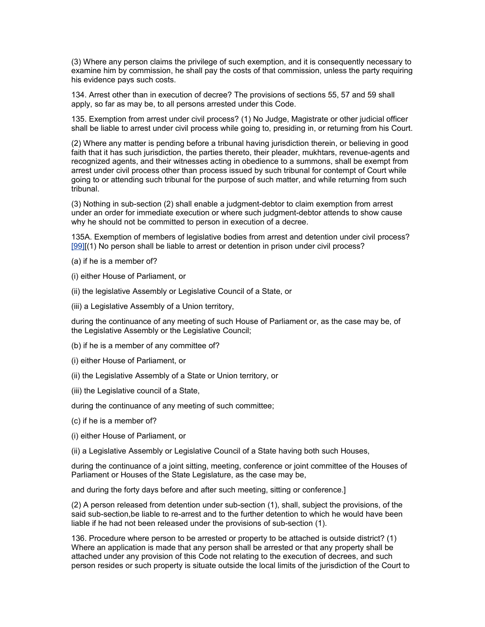(3) Where any person claims the privilege of such exemption, and it is consequently necessary to examine him by commission, he shall pay the costs of that commission, unless the party requiring his evidence pays such costs.

134. Arrest other than in execution of decree? The provisions of sections 55, 57 and 59 shall apply, so far as may be, to all persons arrested under this Code.

135. Exemption from arrest under civil process? (1) No Judge, Magistrate or other judicial officer shall be liable to arrest under civil process while going to, presiding in, or returning from his Court.

(2) Where any matter is pending before a tribunal having jurisdiction therein, or believing in good faith that it has such jurisdiction, the parties thereto, their pleader, mukhtars, revenue-agents and recognized agents, and their witnesses acting in obedience to a summons, shall be exempt from arrest under civil process other than process issued by such tribunal for contempt of Court while going to or attending such tribunal for the purpose of such matter, and while returning from such tribunal.

(3) Nothing in sub-section (2) shall enable a judgment-debtor to claim exemption from arrest under an order for immediate execution or where such judgment-debtor attends to show cause why he should not be committed to person in execution of a decree.

135A. Exemption of members of legislative bodies from arrest and detention under civil process? [\[99\]\[](http://www.helplinelaw.com/bareact/bact.php?no=12&dsp=civil-proc-code#_edn99%23_edn99)(1) No person shall be liable to arrest or detention in prison under civil process?

(a) if he is a member of?

(i) either House of Parliament, or

(ii) the legislative Assembly or Legislative Council of a State, or

(iii) a Legislative Assembly of a Union territory,

during the continuance of any meeting of such House of Parliament or, as the case may be, of the Legislative Assembly or the Legislative Council;

(b) if he is a member of any committee of?

(i) either House of Parliament, or

(ii) the Legislative Assembly of a State or Union territory, or

(iii) the Legislative council of a State,

during the continuance of any meeting of such committee;

(c) if he is a member of?

(i) either House of Parliament, or

(ii) a Legislative Assembly or Legislative Council of a State having both such Houses,

during the continuance of a joint sitting, meeting, conference or joint committee of the Houses of Parliament or Houses of the State Legislature, as the case may be,

and during the forty days before and after such meeting, sitting or conference.]

(2) A person released from detention under sub-section (1), shall, subject the provisions, of the said sub-section,be liable to re-arrest and to the further detention to which he would have been liable if he had not been released under the provisions of sub-section (1).

136. Procedure where person to be arrested or property to be attached is outside district? (1) Where an application is made that any person shall be arrested or that any property shall be attached under any provision of this Code not relating to the execution of decrees, and such person resides or such property is situate outside the local limits of the jurisdiction of the Court to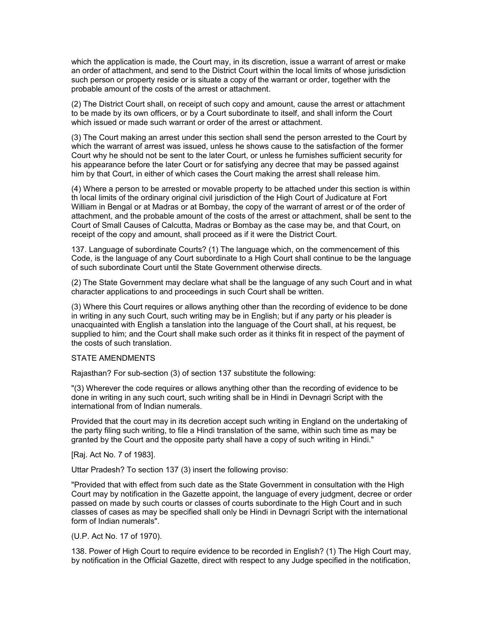which the application is made, the Court may, in its discretion, issue a warrant of arrest or make an order of attachment, and send to the District Court within the local limits of whose jurisdiction such person or property reside or is situate a copy of the warrant or order, together with the probable amount of the costs of the arrest or attachment.

(2) The District Court shall, on receipt of such copy and amount, cause the arrest or attachment to be made by its own officers, or by a Court subordinate to itself, and shall inform the Court which issued or made such warrant or order of the arrest or attachment.

(3) The Court making an arrest under this section shall send the person arrested to the Court by which the warrant of arrest was issued, unless he shows cause to the satisfaction of the former Court why he should not be sent to the later Court, or unless he furnishes sufficient security for his appearance before the later Court or for satisfying any decree that may be passed against him by that Court, in either of which cases the Court making the arrest shall release him.

(4) Where a person to be arrested or movable property to be attached under this section is within th local limits of the ordinary original civil jurisdiction of the High Court of Judicature at Fort William in Bengal or at Madras or at Bombay, the copy of the warrant of arrest or of the order of attachment, and the probable amount of the costs of the arrest or attachment, shall be sent to the Court of Small Causes of Calcutta, Madras or Bombay as the case may be, and that Court, on receipt of the copy and amount, shall proceed as if it were the District Court.

137. Language of subordinate Courts? (1) The language which, on the commencement of this Code, is the language of any Court subordinate to a High Court shall continue to be the language of such subordinate Court until the State Government otherwise directs.

(2) The State Government may declare what shall be the language of any such Court and in what character applications to and proceedings in such Court shall be written.

(3) Where this Court requires or allows anything other than the recording of evidence to be done in writing in any such Court, such writing may be in English; but if any party or his pleader is unacquainted with English a tanslation into the language of the Court shall, at his request, be supplied to him; and the Court shall make such order as it thinks fit in respect of the payment of the costs of such translation.

### STATE AMENDMENTS

Rajasthan? For sub-section (3) of section 137 substitute the following:

"(3) Wherever the code requires or allows anything other than the recording of evidence to be done in writing in any such court, such writing shall be in Hindi in Devnagri Script with the international from of Indian numerals.

Provided that the court may in its decretion accept such writing in England on the undertaking of the party filing such writing, to file a Hindi translation of the same, within such time as may be granted by the Court and the opposite party shall have a copy of such writing in Hindi."

[Raj. Act No. 7 of 1983].

Uttar Pradesh? To section 137 (3) insert the following proviso:

"Provided that with effect from such date as the State Government in consultation with the High Court may by notification in the Gazette appoint, the language of every judgment, decree or order passed on made by such courts or classes of courts subordinate to the High Court and in such classes of cases as may be specified shall only be Hindi in Devnagri Script with the international form of Indian numerals".

(U.P. Act No. 17 of 1970).

138. Power of High Court to require evidence to be recorded in English? (1) The High Court may, by notification in the Official Gazette, direct with respect to any Judge specified in the notification,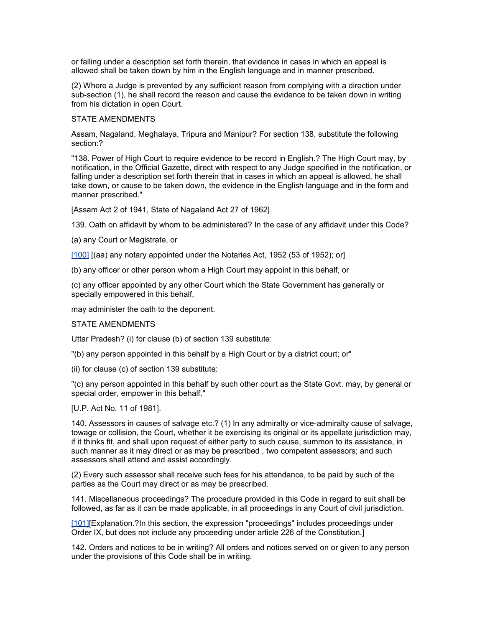or falling under a description set forth therein, that evidence in cases in which an appeal is allowed shall be taken down by him in the English language and in manner prescribed.

(2) Where a Judge is prevented by any sufficient reason from complying with a direction under sub-section (1), he shall record the reason and cause the evidence to be taken down in writing from his dictation in open Court.

### STATE AMENDMENTS

Assam, Nagaland, Meghalaya, Tripura and Manipur? For section 138, substitute the following section:?

"138. Power of High Court to require evidence to be record in English.? The High Court may, by notification, in the Official Gazette, direct with respect to any Judge specified in the notification, or falling under a description set forth therein that in cases in which an appeal is allowed, he shall take down, or cause to be taken down, the evidence in the English language and in the form and manner prescribed."

[Assam Act 2 of 1941, State of Nagaland Act 27 of 1962].

139. Oath on affidavit by whom to be administered? In the case of any affidavit under this Code?

(a) any Court or Magistrate, or

[\[100\]](http://www.helplinelaw.com/bareact/bact.php?no=12&dsp=civil-proc-code#_edn100%23_edn100) [(aa) any notary appointed under the Notaries Act, 1952 (53 of 1952); or]

(b) any officer or other person whom a High Court may appoint in this behalf, or

(c) any officer appointed by any other Court which the State Government has generally or specially empowered in this behalf,

may administer the oath to the deponent.

# STATE AMENDMENTS

Uttar Pradesh? (i) for clause (b) of section 139 substitute:

"(b) any person appointed in this behalf by a High Court or by a district court; or"

(ii) for clause (c) of section 139 substitute:

"(c) any person appointed in this behalf by such other court as the State Govt. may, by general or special order, empower in this behalf."

[U.P. Act No. 11 of 1981].

140. Assessors in causes of salvage etc.? (1) In any admiralty or vice-admiralty cause of salvage, towage or collision, the Court, whether it be exercising its original or its appellate jurisdiction may, if it thinks fit, and shall upon request of either party to such cause, summon to its assistance, in such manner as it may direct or as may be prescribed , two competent assessors; and such assessors shall attend and assist accordingly.

(2) Every such assessor shall receive such fees for his attendance, to be paid by such of the parties as the Court may direct or as may be prescribed.

141. Miscellaneous proceedings? The procedure provided in this Code in regard to suit shall be followed, as far as it can be made applicable, in all proceedings in any Court of civil jurisdiction.

[\[101\]\[](http://www.helplinelaw.com/bareact/bact.php?no=12&dsp=civil-proc-code#_edn101%23_edn101)Explanation.?In this section, the expression "proceedings" includes proceedings under Order IX, but does not include any proceeding under article 226 of the Constitution.]

142. Orders and notices to be in writing? All orders and notices served on or given to any person under the provisions of this Code shall be in writing.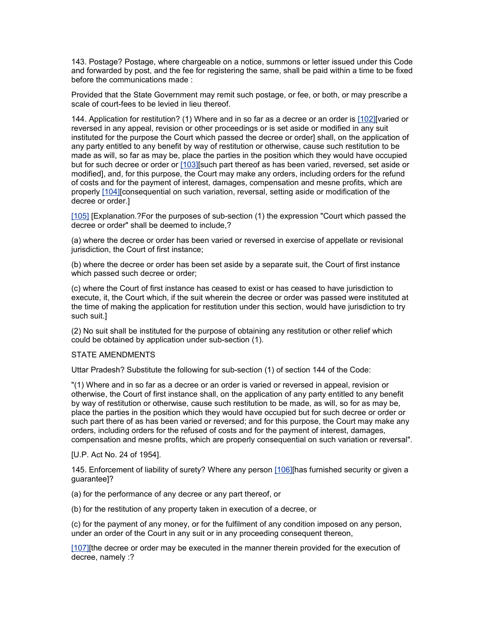143. Postage? Postage, where chargeable on a notice, summons or letter issued under this Code and forwarded by post, and the fee for registering the same, shall be paid within a time to be fixed before the communications made :

Provided that the State Government may remit such postage, or fee, or both, or may prescribe a scale of court-fees to be levied in lieu thereof.

144. Application for restitution? (1) Where and in so far as a decree or an order is [\[102\]\[](http://www.helplinelaw.com/bareact/bact.php?no=12&dsp=civil-proc-code#_edn102%23_edn102)varied or reversed in any appeal, revision or other proceedings or is set aside or modified in any suit instituted for the purpose the Court which passed the decree or order] shall, on the application of any party entitled to any benefit by way of restitution or otherwise, cause such restitution to be made as will, so far as may be, place the parties in the position which they would have occupied but for such decree or order or [\[103\]\[](http://www.helplinelaw.com/bareact/bact.php?no=12&dsp=civil-proc-code#_edn103%23_edn103)such part thereof as has been varied, reversed, set aside or modified], and, for this purpose, the Court may make any orders, including orders for the refund of costs and for the payment of interest, damages, compensation and mesne profits, which are properly [\[104\]\[](http://www.helplinelaw.com/bareact/bact.php?no=12&dsp=civil-proc-code#_edn104%23_edn104)consequential on such variation, reversal, setting aside or modification of the decree or order.]

[\[105\]](http://www.helplinelaw.com/bareact/bact.php?no=12&dsp=civil-proc-code#_edn105%23_edn105) [Explanation.?For the purposes of sub-section (1) the expression "Court which passed the decree or order" shall be deemed to include,?

(a) where the decree or order has been varied or reversed in exercise of appellate or revisional jurisdiction, the Court of first instance;

(b) where the decree or order has been set aside by a separate suit, the Court of first instance which passed such decree or order;

(c) where the Court of first instance has ceased to exist or has ceased to have jurisdiction to execute, it, the Court which, if the suit wherein the decree or order was passed were instituted at the time of making the application for restitution under this section, would have jurisdiction to try such suit.]

(2) No suit shall be instituted for the purpose of obtaining any restitution or other relief which could be obtained by application under sub-section (1).

### STATE AMENDMENTS

Uttar Pradesh? Substitute the following for sub-section (1) of section 144 of the Code:

"(1) Where and in so far as a decree or an order is varied or reversed in appeal, revision or otherwise, the Court of first instance shall, on the application of any party entitled to any benefit by way of restitution or otherwise, cause such restitution to be made, as will, so for as may be, place the parties in the position which they would have occupied but for such decree or order or such part there of as has been varied or reversed; and for this purpose, the Court may make any orders, including orders for the refused of costs and for the payment of interest, damages, compensation and mesne profits, which are properly consequential on such variation or reversal".

[U.P. Act No. 24 of 1954].

145. Enforcement of liability of surety? Where any person [\[106\]\[](http://www.helplinelaw.com/bareact/bact.php?no=12&dsp=civil-proc-code#_edn106%23_edn106)has furnished security or given a guarantee]?

(a) for the performance of any decree or any part thereof, or

(b) for the restitution of any property taken in execution of a decree, or

(c) for the payment of any money, or for the fulfilment of any condition imposed on any person, under an order of the Court in any suit or in any proceeding consequent thereon,

[107] [the decree or order may be executed in the manner therein provided for the execution of decree, namely :?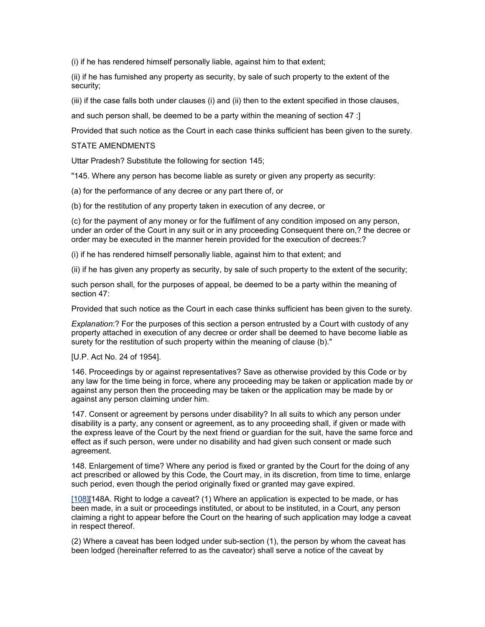(i) if he has rendered himself personally liable, against him to that extent;

(ii) if he has furnished any property as security, by sale of such property to the extent of the security;

(iii) if the case falls both under clauses (i) and (ii) then to the extent specified in those clauses,

and such person shall, be deemed to be a party within the meaning of section 47 :]

Provided that such notice as the Court in each case thinks sufficient has been given to the surety.

### STATE AMENDMENTS

Uttar Pradesh? Substitute the following for section 145;

"145. Where any person has become liable as surety or given any property as security:

(a) for the performance of any decree or any part there of, or

(b) for the restitution of any property taken in execution of any decree, or

(c) for the payment of any money or for the fulfilment of any condition imposed on any person, under an order of the Court in any suit or in any proceeding Consequent there on,? the decree or order may be executed in the manner herein provided for the execution of decrees:?

(i) if he has rendered himself personally liable, against him to that extent; and

(ii) if he has given any property as security, by sale of such property to the extent of the security;

such person shall, for the purposes of appeal, be deemed to be a party within the meaning of section 47:

Provided that such notice as the Court in each case thinks sufficient has been given to the surety.

*Explanation*:? For the purposes of this section a person entrusted by a Court with custody of any property attached in execution of any decree or order shall be deemed to have become liable as surety for the restitution of such property within the meaning of clause (b)."

### [U.P. Act No. 24 of 1954].

146. Proceedings by or against representatives? Save as otherwise provided by this Code or by any law for the time being in force, where any proceeding may be taken or application made by or against any person then the proceeding may be taken or the application may be made by or against any person claiming under him.

147. Consent or agreement by persons under disability? In all suits to which any person under disability is a party, any consent or agreement, as to any proceeding shall, if given or made with the express leave of the Court by the next friend or guardian for the suit, have the same force and effect as if such person, were under no disability and had given such consent or made such agreement.

148. Enlargement of time? Where any period is fixed or granted by the Court for the doing of any act prescribed or allowed by this Code, the Court may, in its discretion, from time to time, enlarge such period, even though the period originally fixed or granted may gave expired.

[\[108\]\[](http://www.helplinelaw.com/bareact/bact.php?no=12&dsp=civil-proc-code#_edn108%23_edn108)148A. Right to lodge a caveat? (1) Where an application is expected to be made, or has been made, in a suit or proceedings instituted, or about to be instituted, in a Court, any person claiming a right to appear before the Court on the hearing of such application may lodge a caveat in respect thereof.

(2) Where a caveat has been lodged under sub-section (1), the person by whom the caveat has been lodged (hereinafter referred to as the caveator) shall serve a notice of the caveat by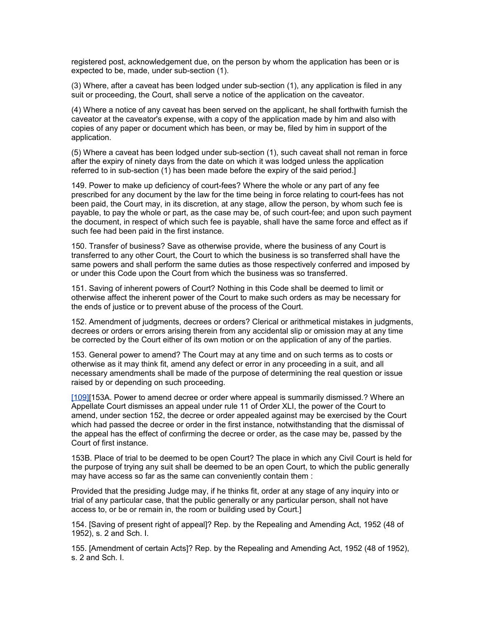registered post, acknowledgement due, on the person by whom the application has been or is expected to be, made, under sub-section (1).

(3) Where, after a caveat has been lodged under sub-section (1), any application is filed in any suit or proceeding, the Court, shall serve a notice of the application on the caveator.

(4) Where a notice of any caveat has been served on the applicant, he shall forthwith furnish the caveator at the caveator's expense, with a copy of the application made by him and also with copies of any paper or document which has been, or may be, filed by him in support of the application.

(5) Where a caveat has been lodged under sub-section (1), such caveat shall not reman in force after the expiry of ninety days from the date on which it was lodged unless the application referred to in sub-section (1) has been made before the expiry of the said period.]

149. Power to make up deficiency of court-fees? Where the whole or any part of any fee prescribed for any document by the law for the time being in force relating to court-fees has not been paid, the Court may, in its discretion, at any stage, allow the person, by whom such fee is payable, to pay the whole or part, as the case may be, of such court-fee; and upon such payment the document, in respect of which such fee is payable, shall have the same force and effect as if such fee had been paid in the first instance.

150. Transfer of business? Save as otherwise provide, where the business of any Court is transferred to any other Court, the Court to which the business is so transferred shall have the same powers and shall perform the same duties as those respectively conferred and imposed by or under this Code upon the Court from which the business was so transferred.

151. Saving of inherent powers of Court? Nothing in this Code shall be deemed to limit or otherwise affect the inherent power of the Court to make such orders as may be necessary for the ends of justice or to prevent abuse of the process of the Court.

152. Amendment of judgments, decrees or orders? Clerical or arithmetical mistakes in judgments, decrees or orders or errors arising therein from any accidental slip or omission may at any time be corrected by the Court either of its own motion or on the application of any of the parties.

153. General power to amend? The Court may at any time and on such terms as to costs or otherwise as it may think fit, amend any defect or error in any proceeding in a suit, and all necessary amendments shall be made of the purpose of determining the real question or issue raised by or depending on such proceeding.

[\[109\]\[](http://www.helplinelaw.com/bareact/bact.php?no=12&dsp=civil-proc-code#_edn109%23_edn109)153A. Power to amend decree or order where appeal is summarily dismissed.? Where an Appellate Court dismisses an appeal under rule 11 of Order XLI, the power of the Court to amend, under section 152, the decree or order appealed against may be exercised by the Court which had passed the decree or order in the first instance, notwithstanding that the dismissal of the appeal has the effect of confirming the decree or order, as the case may be, passed by the Court of first instance.

153B. Place of trial to be deemed to be open Court? The place in which any Civil Court is held for the purpose of trying any suit shall be deemed to be an open Court, to which the public generally may have access so far as the same can conveniently contain them :

Provided that the presiding Judge may, if he thinks fit, order at any stage of any inquiry into or trial of any particular case, that the public generally or any particular person, shall not have access to, or be or remain in, the room or building used by Court.]

154. [Saving of present right of appeal]? Rep. by the Repealing and Amending Act, 1952 (48 of 1952), s. 2 and Sch. I.

155. [Amendment of certain Acts]? Rep. by the Repealing and Amending Act, 1952 (48 of 1952), s. 2 and Sch. I.